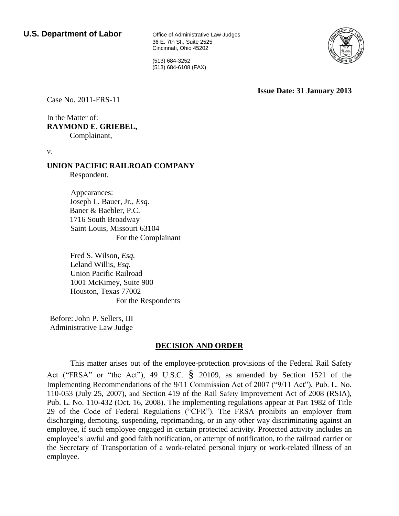36 E. 7th St., Suite 2525 Cincinnati, Ohio 45202

(513) 684-3252 (513) 684-6108 (FAX)

**Issue Date: 31 January 2013**

Case No. 2011-FRS-11

In the Matter of: **RAYMOND E**. **GRIEBEL,** Complainant,

V.

#### **UNION PACIFIC RAILROAD COMPANY** Respondent.

Appearances: Joseph L. Bauer, Jr., *Esq.* Baner & Baebler, P.C. 1716 South Broadway Saint Louis, Missouri 63104 For the Complainant

Fred S. Wilson, *Esq.* Leland Willis, *Esq.* Union Pacific Railroad 1001 McKimey, Suite 900 Houston, Texas 77002 For the Respondents

Before: John P. Sellers, III Administrative Law Judge

# **DECISION AND ORDER**

This matter arises out of the employee-protection provisions of the Federal Rail Safety Act ("FRSA" or "the Act"), 49 U.S.C. § 20109, as amended by Section 1521 of the Implementing Recommendations of the 9/11 Commission Act of 2007 ("9/11 Act"), Pub. L. No. 110-053 (July 25, 2007), and Section 419 of the Rail Safety Improvement Act of 2008 (RSIA), Pub. L. No. 110-432 (Oct. 16, 2008). The implementing regulations appear at Part 1982 of Title 29 of the Code of Federal Regulations ("CFR"). The FRSA prohibits an employer from discharging, demoting, suspending, reprimanding, or in any other way discriminating against an employee, if such employee engaged in certain protected activity. Protected activity includes an employee's lawful and good faith notification, or attempt of notification, to the railroad carrier or the Secretary of Transportation of a work-related personal injury or work-related illness of an employee.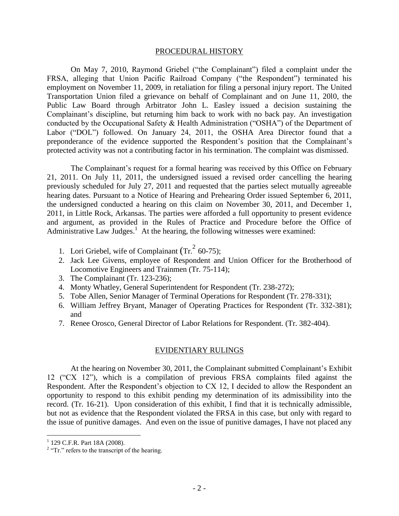#### PROCEDURAL HISTORY

On May 7, 2010, Raymond Griebel ("the Complainant") filed a complaint under the FRSA, alleging that Union Pacific Railroad Company ("the Respondent") terminated his employment on November 11, 2009, in retaliation for filing a personal injury report. The United Transportation Union filed a grievance on behalf of Complainant and on June 11, 20l0, the Public Law Board through Arbitrator John L. Easley issued a decision sustaining the Complainant's discipline, but returning him back to work with no back pay. An investigation conducted by the Occupational Safety & Health Administration ("OSHA") of the Department of Labor ("DOL") followed. On January 24, 2011, the OSHA Area Director found that a preponderance of the evidence supported the Respondent's position that the Complainant's protected activity was not a contributing factor in his termination. The complaint was dismissed.

The Complainant's request for a formal hearing was received by this Office on February 21, 2011. On July 11, 2011, the undersigned issued a revised order cancelling the hearing previously scheduled for July 27, 2011 and requested that the parties select mutually agreeable hearing dates. Pursuant to a Notice of Hearing and Prehearing Order issued September 6, 2011, the undersigned conducted a hearing on this claim on November 30, 2011, and December 1, 2011, in Little Rock, Arkansas. The parties were afforded a full opportunity to present evidence and argument, as provided in the Rules of Practice and Procedure before the Office of Administrative Law Judges.<sup>1</sup> At the hearing, the following witnesses were examined:

- 1. Lori Griebel, wife of Complainant  $(Tr.<sup>2</sup> 60-75)$ ;
- 2. Jack Lee Givens, employee of Respondent and Union Officer for the Brotherhood of Locomotive Engineers and Trainmen (Tr. 75-114);
- 3. The Complainant (Tr. 123-236);
- 4. Monty Whatley, General Superintendent for Respondent (Tr. 238-272);
- 5. Tobe Allen, Senior Manager of Terminal Operations for Respondent (Tr. 278-331);
- 6. William Jeffrey Bryant, Manager of Operating Practices for Respondent (Tr. 332-381); and
- 7. Renee Orosco, General Director of Labor Relations for Respondent. (Tr. 382-404).

#### EVIDENTIARY RULINGS

At the hearing on November 30, 2011, the Complainant submitted Complainant's Exhibit 12 ("CX 12"), which is a compilation of previous FRSA complaints filed against the Respondent. After the Respondent's objection to CX 12, I decided to allow the Respondent an opportunity to respond to this exhibit pending my determination of its admissibility into the record. (Tr. 16-21). Upon consideration of this exhibit, I find that it is technically admissible, but not as evidence that the Respondent violated the FRSA in this case, but only with regard to the issue of punitive damages. And even on the issue of punitive damages, I have not placed any

 1 129 C.F.R. Part 18A (2008).

 $2$  "Tr." refers to the transcript of the hearing.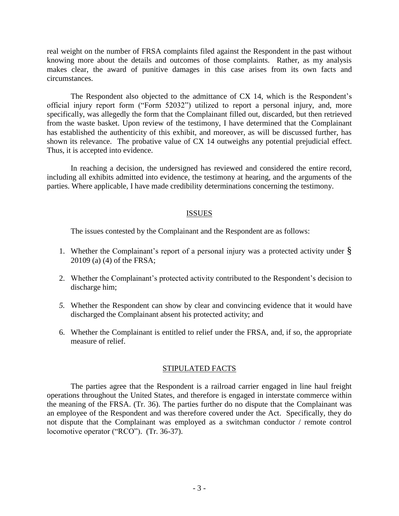real weight on the number of FRSA complaints filed against the Respondent in the past without knowing more about the details and outcomes of those complaints. Rather, as my analysis makes clear, the award of punitive damages in this case arises from its own facts and circumstances.

The Respondent also objected to the admittance of CX 14, which is the Respondent's official injury report form ("Form 52032") utilized to report a personal injury, and, more specifically, was allegedly the form that the Complainant filled out, discarded, but then retrieved from the waste basket. Upon review of the testimony, I have determined that the Complainant has established the authenticity of this exhibit, and moreover, as will be discussed further, has shown its relevance. The probative value of CX 14 outweighs any potential prejudicial effect. Thus, it is accepted into evidence.

In reaching a decision, the undersigned has reviewed and considered the entire record, including all exhibits admitted into evidence, the testimony at hearing, and the arguments of the parties. Where applicable, I have made credibility determinations concerning the testimony.

### ISSUES

The issues contested by the Complainant and the Respondent are as follows:

- 1. Whether the Complainant's report of a personal injury was a protected activity under  $\S$ 20109 (a) (4) of the FRSA;
- 2. Whether the Complainant's protected activity contributed to the Respondent's decision to discharge him;
- *5.* Whether the Respondent can show by clear and convincing evidence that it would have discharged the Complainant absent his protected activity; and
- 6. Whether the Complainant is entitled to relief under the FRSA, and, if so, the appropriate measure of relief.

### STIPULATED FACTS

The parties agree that the Respondent is a railroad carrier engaged in line haul freight operations throughout the United States, and therefore is engaged in interstate commerce within the meaning of the FRSA. (Tr. 36). The parties further do no dispute that the Complainant was an employee of the Respondent and was therefore covered under the Act. Specifically, they do not dispute that the Complainant was employed as a switchman conductor / remote control locomotive operator ("RCO"). (Tr. 36-37).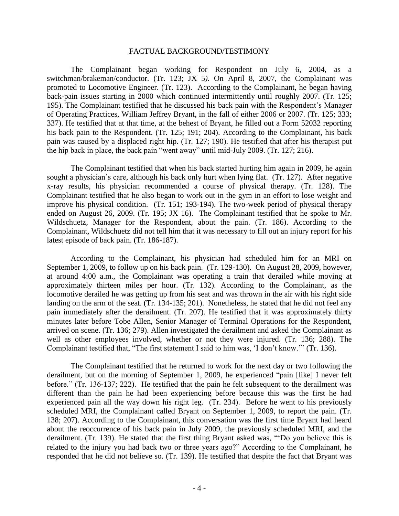#### FACTUAL BACKGROUND/TESTIMONY

The Complainant began working for Respondent on July 6, 2004, as a switchman/brakeman/conductor. (Tr. 123; JX 5*).* On April 8, 2007, the Complainant was promoted to Locomotive Engineer. (Tr. 123). According to the Complainant, he began having back-pain issues starting in 2000 which continued intermittently until roughly 2007. (Tr. 125; 195). The Complainant testified that he discussed his back pain with the Respondent's Manager of Operating Practices, William Jeffrey Bryant, in the fall of either 2006 or 2007. (Tr. 125; 333; 337). He testified that at that time, at the behest of Bryant, he filled out a Form 52032 reporting his back pain to the Respondent. (Tr. 125; 191; 204). According to the Complainant, his back pain was caused by a displaced right hip. (Tr. 127; 190). He testified that after his therapist put the hip back in place, the back pain "went away" until mid-July 2009. (Tr. 127; 216).

The Complainant testified that when his back started hurting him again in 2009, he again sought a physician's care, although his back only hurt when lying flat. (Tr. 127). After negative x-ray results, his physician recommended a course of physical therapy. (Tr. 128). The Complainant testified that he also began to work out in the gym in an effort to lose weight and improve his physical condition. (Tr. 151; 193-194). The two-week period of physical therapy ended on August 26, 2009. (Tr. 195; JX 16). The Complainant testified that he spoke to Mr. Wildschuetz, Manager for the Respondent, about the pain. (Tr. 186). According to the Complainant, Wildschuetz did not tell him that it was necessary to fill out an injury report for his latest episode of back pain. (Tr. 186-187).

According to the Complainant, his physician had scheduled him for an MRI on September 1, 2009, to follow up on his back pain. (Tr. 129-130). On August 28, 2009, however, at around 4:00 a.m., the Complainant was operating a train that derailed while moving at approximately thirteen miles per hour. (Tr. 132). According to the Complainant, as the locomotive derailed he was getting up from his seat and was thrown in the air with his right side landing on the arm of the seat. (Tr. 134-135; 201). Nonetheless, he stated that he did not feel any pain immediately after the derailment. (Tr. 207). He testified that it was approximately thirty minutes later before Tobe Allen, Senior Manager of Terminal Operations for the Respondent, arrived on scene. (Tr. 136; 279). Allen investigated the derailment and asked the Complainant as well as other employees involved, whether or not they were injured. (Tr. 136; 288). The Complainant testified that, "The first statement I said to him was, 'I don't know.'" (Tr. 136).

The Complainant testified that he returned to work for the next day or two following the derailment, but on the morning of September 1, 2009, he experienced "pain [like] I never felt before." (Tr. 136-137; 222). He testified that the pain he felt subsequent to the derailment was different than the pain he had been experiencing before because this was the first he had experienced pain all the way down his right leg. (Tr. 234). Before he went to his previously scheduled MRI, the Complainant called Bryant on September 1, 2009, to report the pain. (Tr. 138; 207). According to the Complainant, this conversation was the first time Bryant had heard about the reoccurrence of his back pain in July 2009, the previously scheduled MRI, and the derailment. (Tr. 139). He stated that the first thing Bryant asked was, "'Do you believe this is related to the injury you had back two or three years ago?" According to the Complainant, he responded that he did not believe so. (Tr. 139). He testified that despite the fact that Bryant was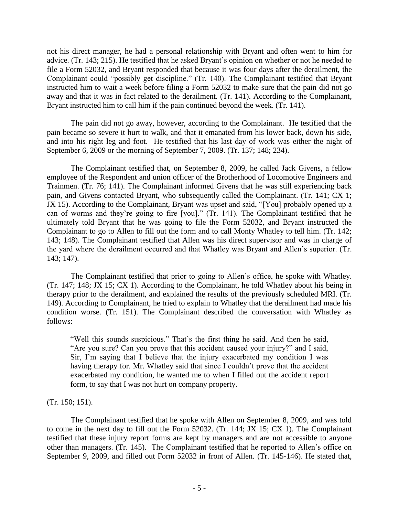not his direct manager, he had a personal relationship with Bryant and often went to him for advice. (Tr. 143; 215). He testified that he asked Bryant's opinion on whether or not he needed to file a Form 52032, and Bryant responded that because it was four days after the derailment, the Complainant could "possibly get discipline." (Tr. 140). The Complainant testified that Bryant instructed him to wait a week before filing a Form 52032 to make sure that the pain did not go away and that it was in fact related to the derailment. (Tr. 141). According to the Complainant, Bryant instructed him to call him if the pain continued beyond the week. (Tr. 141).

The pain did not go away, however, according to the Complainant. He testified that the pain became so severe it hurt to walk, and that it emanated from his lower back, down his side, and into his right leg and foot. He testified that his last day of work was either the night of September 6, 2009 or the morning of September 7, 2009. (Tr. 137; 148; 234).

The Complainant testified that, on September 8, 2009, he called Jack Givens, a fellow employee of the Respondent and union officer of the Brotherhood of Locomotive Engineers and Trainmen. (Tr. 76; 141). The Complainant informed Givens that he was still experiencing back pain, and Givens contacted Bryant, who subsequently called the Complainant. (Tr. 141; CX 1; JX 15). According to the Complainant, Bryant was upset and said, "[You] probably opened up a can of worms and they're going to fire [you]." (Tr. 141). The Complainant testified that he ultimately told Bryant that he was going to file the Form 52032, and Bryant instructed the Complainant to go to Allen to fill out the form and to call Monty Whatley to tell him. (Tr. 142; 143; 148). The Complainant testified that Allen was his direct supervisor and was in charge of the yard where the derailment occurred and that Whatley was Bryant and Allen's superior. (Tr. 143; 147).

The Complainant testified that prior to going to Allen's office, he spoke with Whatley. (Tr. 147; 148; JX 15; CX 1). According to the Complainant, he told Whatley about his being in therapy prior to the derailment, and explained the results of the previously scheduled MRI. (Tr. 149). According to Complainant, he tried to explain to Whatley that the derailment had made his condition worse. (Tr. 151). The Complainant described the conversation with Whatley as follows:

"Well this sounds suspicious." That's the first thing he said. And then he said, "Are you sure? Can you prove that this accident caused your injury?" and I said, Sir, I'm saying that I believe that the injury exacerbated my condition I was having therapy for. Mr. Whatley said that since I couldn't prove that the accident exacerbated my condition, he wanted me to when I filled out the accident report form, to say that I was not hurt on company property.

(Tr. 150; 151).

The Complainant testified that he spoke with Allen on September 8, 2009, and was told to come in the next day to fill out the Form 52032. (Tr. 144; JX 15; CX 1). The Complainant testified that these injury report forms are kept by managers and are not accessible to anyone other than managers. (Tr. 145). The Complainant testified that he reported to Allen's office on September 9, 2009, and filled out Form 52032 in front of Allen. (Tr. 145-146). He stated that,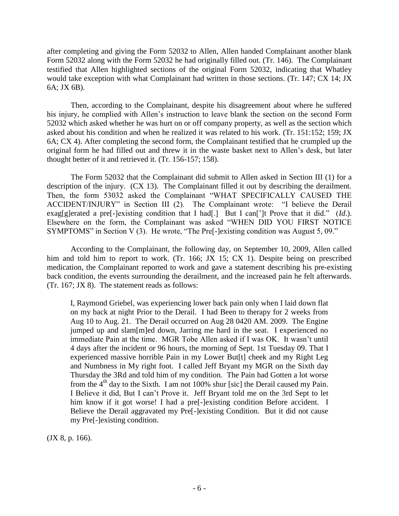after completing and giving the Form 52032 to Allen, Allen handed Complainant another blank Form 52032 along with the Form 52032 he had originally filled out. (Tr. 146). The Complainant testified that Allen highlighted sections of the original Form 52032, indicating that Whatley would take exception with what Complainant had written in those sections. (Tr. 147; CX 14; JX 6A; JX 6B).

Then, according to the Complainant, despite his disagreement about where he suffered his injury, he complied with Allen's instruction to leave blank the section on the second Form 52032 which asked whether he was hurt on or off company property, as well as the section which asked about his condition and when he realized it was related to his work. (Tr. 151:152; 159; JX 6A; CX 4). After completing the second form, the Complainant testified that he crumpled up the original form he had filled out and threw it in the waste basket next to Allen's desk, but later thought better of it and retrieved it. (Tr. 156-157; 158).

The Form 52032 that the Complainant did submit to Allen asked in Section III (1) for a description of the injury. (CX 13). The Complainant filled it out by describing the derailment. Then, the form 53032 asked the Complainant "WHAT SPECIFICALLY CAUSED THE ACCIDENT/INJURY" in Section III (2). The Complainant wrote: "I believe the Derail exag[g]erated a pre[-]existing condition that I had[.] But I can<sup>['</sup>]t Prove that it did." (*Id*.). Elsewhere on the form, the Complainant was asked "WHEN DID YOU FIRST NOTICE SYMPTOMS" in Section V (3). He wrote, "The Pre[-]existing condition was August 5, 09."

According to the Complainant, the following day, on September 10, 2009, Allen called him and told him to report to work. (Tr. 166; JX 15; CX 1). Despite being on prescribed medication, the Complainant reported to work and gave a statement describing his pre-existing back condition, the events surrounding the derailment, and the increased pain he felt afterwards. (Tr. 167; JX 8). The statement reads as follows:

I, Raymond Griebel, was experiencing lower back pain only when I laid down flat on my back at night Prior to the Derail. I had Been to therapy for 2 weeks from Aug 10 to Aug. 21. The Derail occurred on Aug 28 0420 AM. 2009. The Engine jumped up and slam[m]ed down, Jarring me hard in the seat. I experienced no immediate Pain at the time. MGR Tobe Allen asked if I was OK. It wasn't until 4 days after the incident or 96 hours, the morning of Sept. 1st Tuesday 09. That I experienced massive horrible Pain in my Lower But[t] cheek and my Right Leg and Numbness in My right foot. I called Jeff Bryant my MGR on the Sixth day Thursday the 3Rd and told him of my condition. The Pain had Gotten a lot worse from the  $4<sup>th</sup>$  day to the Sixth. I am not 100% shur [sic] the Derail caused my Pain. I Believe it did, But I can't Prove it. Jeff Bryant told me on the 3rd Sept to let him know if it got worse! I had a pre<sup>[-</sup>]existing condition Before accident. I Believe the Derail aggravated my Pre[-]existing Condition. But it did not cause my Pre[-]existing condition.

(JX 8, p. 166).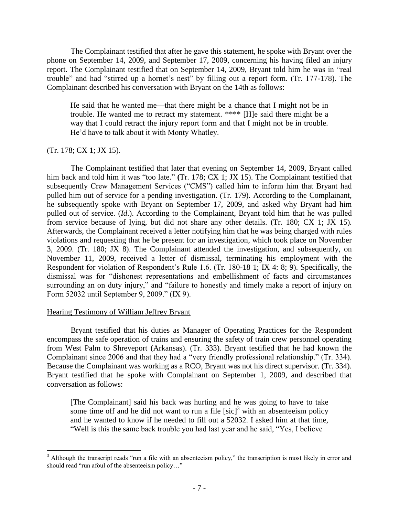The Complainant testified that after he gave this statement, he spoke with Bryant over the phone on September 14, 2009, and September 17, 2009, concerning his having filed an injury report. The Complainant testified that on September 14, 2009, Bryant told him he was in "real trouble" and had "stirred up a hornet's nest" by filling out a report form. (Tr. 177-178). The Complainant described his conversation with Bryant on the 14th as follows:

He said that he wanted me—that there might be a chance that I might not be in trouble. He wanted me to retract my statement. \*\*\*\* [H]e said there might be a way that I could retract the injury report form and that I might not be in trouble. He'd have to talk about it with Monty Whatley.

### (Tr. 178; CX 1; JX 15).

The Complainant testified that later that evening on September 14, 2009, Bryant called him back and told him it was "too late." **(**Tr. 178; CX 1; JX 15). The Complainant testified that subsequently Crew Management Services ("CMS") called him to inform him that Bryant had pulled him out of service for a pending investigation. (Tr. 179). According to the Complainant, he subsequently spoke with Bryant on September 17, 2009, and asked why Bryant had him pulled out of service. (*Id*.). According to the Complainant, Bryant told him that he was pulled from service because of lying, but did not share any other details. (Tr. 180; CX 1; JX 15)*.*  Afterwards, the Complainant received a letter notifying him that he was being charged with rules violations and requesting that he be present for an investigation, which took place on November 3, 2009. (Tr. 180; JX 8). The Complainant attended the investigation, and subsequently, on November 11, 2009, received a letter of dismissal, terminating his employment with the Respondent for violation of Respondent's Rule 1.6. (Tr. 180-18 1; IX 4: 8; 9). Specifically, the dismissal was for "dishonest representations and embellishment of facts and circumstances surrounding an on duty injury," and "failure to honestly and timely make a report of injury on Form 52032 until September 9, 2009." (IX 9).

## Hearing Testimony of William Jeffrey Bryant

Bryant testified that his duties as Manager of Operating Practices for the Respondent encompass the safe operation of trains and ensuring the safety of train crew personnel operating from West Palm to Shreveport (Arkansas). (Tr. 333). Bryant testified that he had known the Complainant since 2006 and that they had a "very friendly professional relationship." (Tr. 334). Because the Complainant was working as a RCO, Bryant was not his direct supervisor. (Tr. 334). Bryant testified that he spoke with Complainant on September 1, 2009, and described that conversation as follows:

[The Complainant] said his back was hurting and he was going to have to take some time off and he did not want to run a file  $[sic]<sup>3</sup>$  with an absenteeism policy and he wanted to know if he needed to fill out a 52032. I asked him at that time, "Well is this the same back trouble you had last year and he said, "Yes, I believe

 $\overline{a}$  $3$  Although the transcript reads "run a file with an absenteeism policy," the transcription is most likely in error and should read "run afoul of the absenteeism policy…"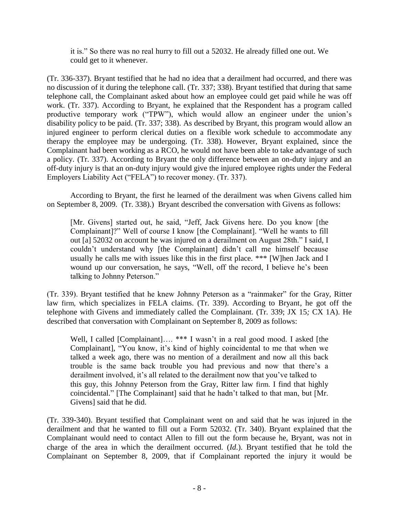it is." So there was no real hurry to fill out a 52032. He already filled one out. We could get to it whenever.

(Tr. 336-337). Bryant testified that he had no idea that a derailment had occurred, and there was no discussion of it during the telephone call. (Tr. 337; 338). Bryant testified that during that same telephone call, the Complainant asked about how an employee could get paid while he was off work. (Tr. 337). According to Bryant, he explained that the Respondent has a program called productive temporary work ("TPW"), which would allow an engineer under the union's disability policy to be paid. (Tr. 337; 338). As described by Bryant, this program would allow an injured engineer to perform clerical duties on a flexible work schedule to accommodate any therapy the employee may be undergoing. (Tr. 338). However, Bryant explained, since the Complainant had been working as a RCO, he would not have been able to take advantage of such a policy. (Tr. 337). According to Bryant the only difference between an on-duty injury and an off-duty injury is that an on-duty injury would give the injured employee rights under the Federal Employers Liability Act ("FELA") to recover money. (Tr. 337).

According to Bryant, the first he learned of the derailment was when Givens called him on September 8, 2009. (Tr. 338).) Bryant described the conversation with Givens as follows:

[Mr. Givens] started out, he said, "Jeff, Jack Givens here. Do you know [the Complainant]?" Well of course I know [the Complainant]. "Well he wants to fill out [a] 52032 on account he was injured on a derailment on August 28th." I said, I couldn't understand why [the Complainant] didn't call me himself because usually he calls me with issues like this in the first place. \*\*\* [W]hen Jack and I wound up our conversation, he says, "Well, off the record, I believe he's been talking to Johnny Peterson."

(Tr. 339). Bryant testified that he knew Johnny Peterson as a "rainmaker" for the Gray, Ritter law firm, which specializes in FELA claims. (Tr. 339). According to Bryant, he got off the telephone with Givens and immediately called the Complainant. (Tr. 339; JX 15*;* CX 1A). He described that conversation with Complainant on September 8, 2009 as follows:

Well, I called [Complainant].... \*\*\* I wasn't in a real good mood. I asked [the Complainant], "You know, it's kind of highly coincidental to me that when we talked a week ago, there was no mention of a derailment and now all this back trouble is the same back trouble you had previous and now that there's a derailment involved, it's all related to the derailment now that you've talked to this guy, this Johnny Peterson from the Gray, Ritter law firm. I find that highly coincidental." [The Complainant] said that he hadn't talked to that man, but [Mr. Givens] said that he did.

(Tr. 339-340). Bryant testified that Complainant went on and said that he was injured in the derailment and that he wanted to fill out a Form 52032. (Tr. 340). Bryant explained that the Complainant would need to contact Allen to fill out the form because he, Bryant, was not in charge of the area in which the derailment occurred. (*Id*.). Bryant testified that he told the Complainant on September 8, 2009, that if Complainant reported the injury it would be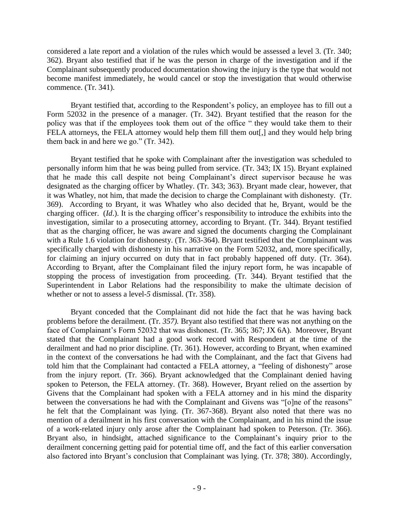considered a late report and a violation of the rules which would be assessed a level 3. (Tr. 340; 362). Bryant also testified that if he was the person in charge of the investigation and if the Complainant subsequently produced documentation showing the injury is the type that would not become manifest immediately, he would cancel or stop the investigation that would otherwise commence. (Tr. 341).

Bryant testified that, according to the Respondent's policy, an employee has to fill out a Form 52032 in the presence of a manager. (Tr. 342). Bryant testified that the reason for the policy was that if the employees took them out of the office " they would take them to their FELA attorneys, the FELA attorney would help them fill them out[,] and they would help bring them back in and here we go." (Tr. 342).

Bryant testified that he spoke with Complainant after the investigation was scheduled to personally inform him that he was being pulled from service. (Tr. 343; IX 15). Bryant explained that he made this call despite not being Complainant's direct supervisor because he was designated as the charging officer by Whatley. (Tr. 343; 363). Bryant made clear, however, that it was Whatley, not him, that made the decision to charge the Complainant with dishonesty. (Tr. 369). According to Bryant, it was Whatley who also decided that he, Bryant, would be the charging officer. (*Id*.). It is the charging officer's responsibility to introduce the exhibits into the investigation, similar to a prosecuting attorney, according to Bryant. (Tr. 344). Bryant testified that as the charging officer, he was aware and signed the documents charging the Complainant with a Rule 1.6 violation for dishonesty. (Tr. 363-364). Bryant testified that the Complainant was specifically charged with dishonesty in his narrative on the Form 52032, and, more specifically, for claiming an injury occurred on duty that in fact probably happened off duty. (Tr. 364). According to Bryant, after the Complainant filed the injury report form, he was incapable of stopping the process of investigation from proceeding. (Tr. 344). Bryant testified that the Superintendent in Labor Relations had the responsibility to make the ultimate decision of whether or not to assess a level-*5* dismissal. (Tr. 358).

Bryant conceded that the Complainant did not hide the fact that he was having back problems before the derailment. (Tr. *357).* Bryant also testified that there was not anything on the face of Complainant's Form 52032 that was dishonest. (Tr. 365; 367; JX 6A). Moreover, Bryant stated that the Complainant had a good work record with Respondent at the time of the derailment and had no prior discipline. (Tr. 361). However, according to Bryant, when examined in the context of the conversations he had with the Complainant, and the fact that Givens had told him that the Complainant had contacted a FELA attorney, a "feeling of dishonesty" arose from the injury report. (Tr. 366). Bryant acknowledged that the Complainant denied having spoken to Peterson, the FELA attorney. (Tr. 368). However, Bryant relied on the assertion by Givens that the Complainant had spoken with a FELA attorney and in his mind the disparity between the conversations he had with the Complainant and Givens was "[o]ne of the reasons" he felt that the Complainant was lying. (Tr. 367-368). Bryant also noted that there was no mention of a derailment in his first conversation with the Complainant, and in his mind the issue of a work-related injury only arose after the Complainant had spoken to Peterson. (Tr. 366). Bryant also, in hindsight, attached significance to the Complainant's inquiry prior to the derailment concerning getting paid for potential time off, and the fact of this earlier conversation also factored into Bryant's conclusion that Complainant was lying. (Tr. 378; 380). Accordingly,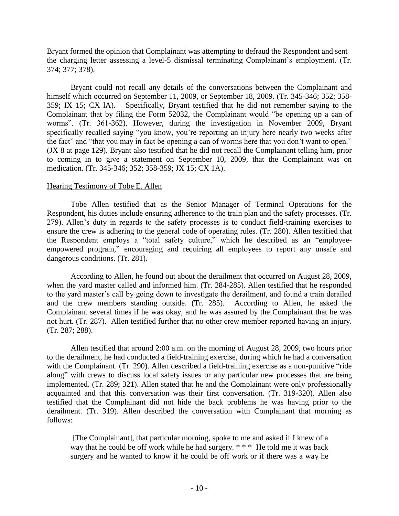Bryant formed the opinion that Complainant was attempting to defraud the Respondent and sent the charging letter assessing a level-5 dismissal terminating Complainant's employment. (Tr. 374; 377; 378).

Bryant could not recall any details of the conversations between the Complainant and himself which occurred on September 11, 2009, or September 18, 2009. (Tr. 345-346; 352; 358- 359; IX 15; CX lA). Specifically, Bryant testified that he did not remember saying to the Complainant that by filing the Form 52032, the Complainant would "be opening up a can of worms". (Tr. 361-362). However, during the investigation in November 2009, Bryant specifically recalled saying "you know, you're reporting an injury here nearly two weeks after the fact" and "that you may in fact be opening a can of worms here that you don't want to open." (JX 8 at page 129). Bryant also testified that he did not recall the Complainant telling him, prior to coming in to give a statement on September 10, 2009, that the Complainant was on medication. (Tr. 345-346; 352; 358-359; JX 15; CX 1A).

### Hearing Testimony of Tobe E. Allen

Tobe Allen testified that as the Senior Manager of Terminal Operations for the Respondent, his duties include ensuring adherence to the train plan and the safety processes. (Tr. 279). Allen's duty in regards to the safety processes is to conduct field-training exercises to ensure the crew is adhering to the general code of operating rules. (Tr. 280). Allen testified that the Respondent employs a "total safety culture," which he described as an "employeeempowered program," encouraging and requiring all employees to report any unsafe and dangerous conditions. (Tr. 281).

According to Allen, he found out about the derailment that occurred on August 28, 2009, when the yard master called and informed him. (Tr. 284-285). Allen testified that he responded to the yard master's call by going down to investigate the derailment, and found a train derailed and the crew members standing outside. (Tr. 285). According to Allen, he asked the Complainant several times if he was okay, and he was assured by the Complainant that he was not hurt. (Tr. 287). Allen testified further that no other crew member reported having an injury. (Tr. 287; 288).

Allen testified that around 2:00 a.m. on the morning of August 28, 2009, two hours prior to the derailment, he had conducted a field-training exercise, during which he had a conversation with the Complainant. (Tr. 290). Allen described a field-training exercise as a non-punitive "ride along" with crews to discuss local safety issues or any particular new processes that are being implemented. (Tr. 289; 321). Allen stated that he and the Complainant were only professionally acquainted and that this conversation was their first conversation. (Tr. 319-320). Allen also testified that the Complainant did not hide the back problems he was having prior to the derailment. (Tr. 319). Allen described the conversation with Complainant that morning as follows:

[The Complainant], that particular morning, spoke to me and asked if I knew of a way that he could be off work while he had surgery. \* \* \* He told me it was back surgery and he wanted to know if he could be off work or if there was a way he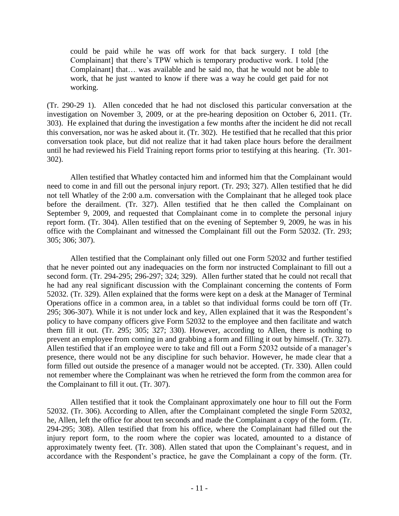could be paid while he was off work for that back surgery. I told [the Complainant] that there's TPW which is temporary productive work. I told [the Complainant] that….. was available and he said no, that he would not be able to work, that he just wanted to know if there was a way he could get paid for not working.

(Tr. 290-29 1). Allen conceded that he had not disclosed this particular conversation at the investigation on November 3, 2009, or at the pre-hearing deposition on October 6, 2011. (Tr. 303). He explained that during the investigation a few months after the incident he did not recall this conversation, nor was he asked about it. (Tr. 302). He testified that he recalled that this prior conversation took place, but did not realize that it had taken place hours before the derailment until he had reviewed his Field Training report forms prior to testifying at this hearing. (Tr. 301- 302).

Allen testified that Whatley contacted him and informed him that the Complainant would need to come in and fill out the personal injury report. (Tr. 293; 327). Allen testified that he did not tell Whatley of the 2:00 a.m. conversation with the Complainant that he alleged took place before the derailment. (Tr. 327). Allen testified that he then called the Complainant on September 9, 2009, and requested that Complainant come in to complete the personal injury report form. (Tr. 304). Allen testified that on the evening of September 9, 2009, he was in his office with the Complainant and witnessed the Complainant fill out the Form 52032. (Tr. 293; 305; 306; 307).

Allen testified that the Complainant only filled out one Form 52032 and further testified that he never pointed out any inadequacies on the form nor instructed Complainant to fill out a second form. (Tr. 294-295; 296-297; 324; 329). Allen further stated that he could not recall that he had any real significant discussion with the Complainant concerning the contents of Form 52032. (Tr. 329). Allen explained that the forms were kept on a desk at the Manager of Terminal Operations office in a common area, in a tablet so that individual forms could be torn off (Tr. 295; 306-307). While it is not under lock and key, Allen explained that it was the Respondent's policy to have company officers give Form 52032 to the employee and then facilitate and watch them fill it out. (Tr. 295; 305; 327; 330). However, according to Allen, there is nothing to prevent an employee from coming in and grabbing a form and filling it out by himself. (Tr. 327). Allen testified that if an employee were to take and fill out a Form 52032 outside of a manager's presence, there would not be any discipline for such behavior. However, he made clear that a form filled out outside the presence of a manager would not be accepted. (Tr. 330). Allen could not remember where the Complainant was when he retrieved the form from the common area for the Complainant to fill it out. (Tr. 307).

Allen testified that it took the Complainant approximately one hour to fill out the Form 52032. (Tr. 306). According to Allen, after the Complainant completed the single Form 52032, he, Allen, left the office for about ten seconds and made the Complainant a copy of the form. (Tr. 294-295; 308). Allen testified that from his office, where the Complainant had filled out the injury report form, to the room where the copier was located, amounted to a distance of approximately twenty feet. (Tr. 308). Allen stated that upon the Complainant's request, and in accordance with the Respondent's practice, he gave the Complainant a copy of the form. (Tr.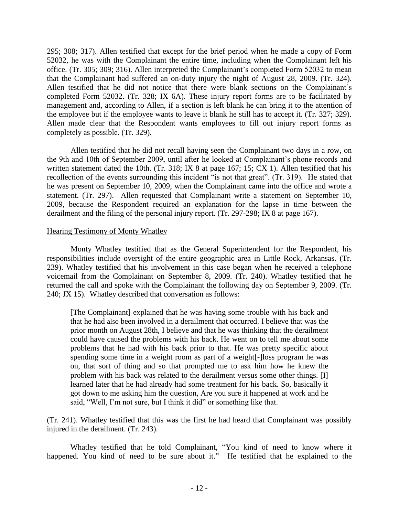295; 308; 317). Allen testified that except for the brief period when he made a copy of Form 52032, he was with the Complainant the entire time, including when the Complainant left his office. (Tr. 305; 309; 316). Allen interpreted the Complainant's completed Form 52032 to mean that the Complainant had suffered an on-duty injury the night of August 28, 2009. (Tr. 324). Allen testified that he did not notice that there were blank sections on the Complainant's completed Form 52032. (Tr. 328; IX 6A). These injury report forms are to be facilitated by management and, according to Allen, if a section is left blank he can bring it to the attention of the employee but if the employee wants to leave it blank he still has to accept it. (Tr. 327; 329). Allen made clear that the Respondent wants employees to fill out injury report forms as completely as possible. (Tr. 329).

Allen testified that he did not recall having seen the Complainant two days in a row, on the 9th and 10th of September 2009, until after he looked at Complainant's phone records and written statement dated the 10th. (Tr. 318; IX 8 at page 167; 15; CX 1). Allen testified that his recollection of the events surrounding this incident "is not that great". (Tr. 319). He stated that he was present on September 10, 2009, when the Complainant came into the office and wrote a statement. (Tr. 297). Allen requested that Complainant write a statement on September 10, 2009, because the Respondent required an explanation for the lapse in time between the derailment and the filing of the personal injury report. (Tr. 297-298; IX 8 at page 167).

#### Hearing Testimony of Monty Whatley

Monty Whatley testified that as the General Superintendent for the Respondent, his responsibilities include oversight of the entire geographic area in Little Rock, Arkansas. (Tr. 239). Whatley testified that his involvement in this case began when he received a telephone voicemail from the Complainant on September 8, 2009. (Tr. 240). Whatley testified that he returned the call and spoke with the Complainant the following day on September 9, 2009. (Tr. 240; JX 15). Whatley described that conversation as follows:

[The Complainant] explained that he was having some trouble with his back and that he had also been involved in a derailment that occurred. I believe that was the prior month on August 28th, I believe and that he was thinking that the derailment could have caused the problems with his back. He went on to tell me about some problems that he had with his back prior to that. He was pretty specific about spending some time in a weight room as part of a weight[-]loss program he was on, that sort of thing and so that prompted me to ask him how he knew the problem with his back was related to the derailment versus some other things. [I] learned later that he had already had some treatment for his back. So, basically it got down to me asking him the question, Are you sure it happened at work and he said, "Well, I'm not sure, but I think it did" or something like that.

(Tr. 241). Whatley testified that this was the first he had heard that Complainant was possibly injured in the derailment. (Tr. 243).

Whatley testified that he told Complainant, "You kind of need to know where it happened. You kind of need to be sure about it." He testified that he explained to the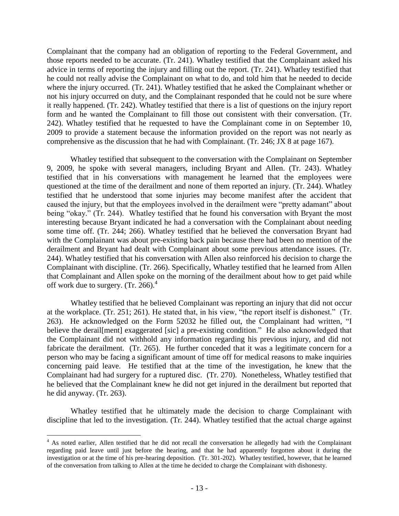Complainant that the company had an obligation of reporting to the Federal Government, and those reports needed to be accurate. (Tr. 241). Whatley testified that the Complainant asked his advice in terms of reporting the injury and filling out the report. (Tr. 241). Whatley testified that he could not really advise the Complainant on what to do, and told him that he needed to decide where the injury occurred. (Tr. 241). Whatley testified that he asked the Complainant whether or not his injury occurred on duty, and the Complainant responded that he could not be sure where it really happened. (Tr. 242). Whatley testified that there is a list of questions on the injury report form and he wanted the Complainant to fill those out consistent with their conversation. (Tr. 242). Whatley testified that he requested to have the Complainant come in on September 10, 2009 to provide a statement because the information provided on the report was not nearly as comprehensive as the discussion that he had with Complainant. (Tr. 246; JX 8 at page 167).

Whatley testified that subsequent to the conversation with the Complainant on September 9, 2009, he spoke with several managers, including Bryant and Allen. (Tr. 243). Whatley testified that in his conversations with management he learned that the employees were questioned at the time of the derailment and none of them reported an injury. (Tr. 244). Whatley testified that he understood that some injuries may become manifest after the accident that caused the injury, but that the employees involved in the derailment were "pretty adamant" about being "okay." (Tr. 244). Whatley testified that he found his conversation with Bryant the most interesting because Bryant indicated he had a conversation with the Complainant about needing some time off. (Tr. 244; 266). Whatley testified that he believed the conversation Bryant had with the Complainant was about pre-existing back pain because there had been no mention of the derailment and Bryant had dealt with Complainant about some previous attendance issues. (Tr. 244). Whatley testified that his conversation with Allen also reinforced his decision to charge the Complainant with discipline. (Tr. 266). Specifically, Whatley testified that he learned from Allen that Complainant and Allen spoke on the morning of the derailment about how to get paid while off work due to surgery.  $(Tr. 266)^4$ 

Whatley testified that he believed Complainant was reporting an injury that did not occur at the workplace. (Tr. 251; 261). He stated that, in his view, "the report itself is dishonest." (Tr. 263). He acknowledged on the Form 52032 he filled out, the Complainant had written, "I believe the derail [ment] exaggerated [sic] a pre-existing condition." He also acknowledged that the Complainant did not withhold any information regarding his previous injury, and did not fabricate the derailment. (Tr. 265). He further conceded that it was a legitimate concern for a person who may be facing a significant amount of time off for medical reasons to make inquiries concerning paid leave. He testified that at the time of the investigation, he knew that the Complainant had had surgery for a ruptured disc. (Tr. 270). Nonetheless, Whatley testified that he believed that the Complainant knew he did not get injured in the derailment but reported that he did anyway. (Tr. 263).

Whatley testified that he ultimately made the decision to charge Complainant with discipline that led to the investigation. (Tr. 244). Whatley testified that the actual charge against

 $\overline{a}$ 

<sup>&</sup>lt;sup>4</sup> As noted earlier, Allen testified that he did not recall the conversation he allegedly had with the Complainant regarding paid leave until just before the hearing, and that he had apparently forgotten about it during the investigation or at the time of his pre-hearing deposition. (Tr. 301-202). Whatley testified, however, that he learned of the conversation from talking to Allen at the time he decided to charge the Complainant with dishonesty.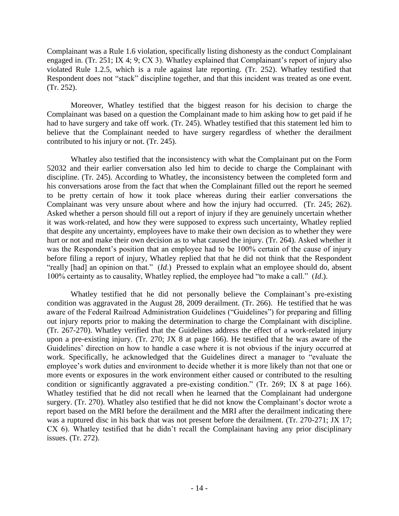Complainant was a Rule 1.6 violation, specifically listing dishonesty as the conduct Complainant engaged in. (Tr. 251; IX 4; 9; CX 3). Whatley explained that Complainant's report of injury also violated Rule 1.2.5, which is a rule against late reporting. (Tr. 252). Whatley testified that Respondent does not "stack" discipline together, and that this incident was treated as one event. (Tr. 252).

Moreover, Whatley testified that the biggest reason for his decision to charge the Complainant was based on a question the Complainant made to him asking how to get paid if he had to have surgery and take off work. (Tr. 245). Whatley testified that this statement led him to believe that the Complainant needed to have surgery regardless of whether the derailment contributed to his injury or not. (Tr. 245).

Whatley also testified that the inconsistency with what the Complainant put on the Form 52032 and their earlier conversation also led him to decide to charge the Complainant with discipline. (Tr. 245). According to Whatley, the inconsistency between the completed form and his conversations arose from the fact that when the Complainant filled out the report he seemed to be pretty certain of how it took place whereas during their earlier conversations the Complainant was very unsure about where and how the injury had occurred. (Tr. 245; 262). Asked whether a person should fill out a report of injury if they are genuinely uncertain whether it was work-related, and how they were supposed to express such uncertainty, Whatley replied that despite any uncertainty, employees have to make their own decision as to whether they were hurt or not and make their own decision as to what caused the injury. (Tr. 264). Asked whether it was the Respondent's position that an employee had to be 100% certain of the cause of injury before filing a report of injury, Whatley replied that that he did not think that the Respondent "really [had] an opinion on that." (*Id*.) Pressed to explain what an employee should do, absent 100% certainty as to causality, Whatley replied, the employee had "to make a call." (*Id*.).

Whatley testified that he did not personally believe the Complainant's pre-existing condition was aggravated in the August 28, 2009 derailment. (Tr. 266). He testified that he was aware of the Federal Railroad Administration Guidelines ("Guidelines") for preparing and filling out injury reports prior to making the determination to charge the Complainant with discipline. (Tr. 267-270). Whatley verified that the Guidelines address the effect of a work-related injury upon a pre-existing injury. (Tr. 270; JX 8 at page 166). He testified that he was aware of the Guidelines' direction on how to handle a case where it is not obvious if the injury occurred at work. Specifically, he acknowledged that the Guidelines direct a manager to "evaluate the employee's work duties and environment to decide whether it is more likely than not that one or more events or exposures in the work environment either caused or contributed to the resulting condition or significantly aggravated a pre-existing condition." (Tr. 269; IX 8 at page 166). Whatley testified that he did not recall when he learned that the Complainant had undergone surgery. (Tr. 270). Whatley also testified that he did not know the Complainant's doctor wrote a report based on the MRI before the derailment and the MRI after the derailment indicating there was a ruptured disc in his back that was not present before the derailment. (Tr. 270-271; JX 17; CX 6). Whatley testified that he didn't recall the Complainant having any prior disciplinary issues. (Tr. 272).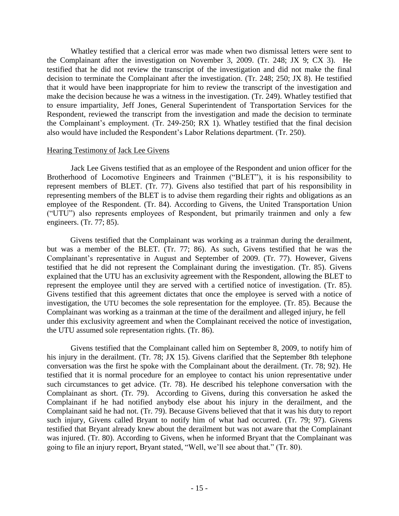Whatley testified that a clerical error was made when two dismissal letters were sent to the Complainant after the investigation on November 3, 2009. (Tr. 248; JX 9; CX 3). He testified that he did not review the transcript of the investigation and did not make the final decision to terminate the Complainant after the investigation. (Tr. 248; 250; JX 8). He testified that it would have been inappropriate for him to review the transcript of the investigation and make the decision because he was a witness in the investigation. (Tr. 249). Whatley testified that to ensure impartiality, Jeff Jones, General Superintendent of Transportation Services for the Respondent, reviewed the transcript from the investigation and made the decision to terminate the Complainant's employment. (Tr. 249-250; RX 1). Whatley testified that the final decision also would have included the Respondent's Labor Relations department. (Tr. 250).

#### Hearing Testimony of Jack Lee Givens

Jack Lee Givens testified that as an employee of the Respondent and union officer for the Brotherhood of Locomotive Engineers and Trainmen ("BLET"), it is his responsibility to represent members of BLET. (Tr. 77). Givens also testified that part of his responsibility in representing members of the BLET is to advise them regarding their rights and obligations as an employee of the Respondent. (Tr. 84). According to Givens, the United Transportation Union ("UTU") also represents employees of Respondent, but primarily trainmen and only a few engineers. (Tr. 77; 85).

Givens testified that the Complainant was working as a trainman during the derailment, but was a member of the BLET. (Tr. 77; 86). As such, Givens testified that he was the Complainant's representative in August and September of 2009. (Tr. 77). However, Givens testified that he did not represent the Complainant during the investigation. (Tr. 85). Givens explained that the UTU has an exclusivity agreement with the Respondent, allowing the BLET to represent the employee until they are served with a certified notice of investigation. (Tr. 85). Givens testified that this agreement dictates that once the employee is served with a notice of investigation, the UTU becomes the sole representation for the employee. (Tr. 85). Because the Complainant was working as a trainman at the time of the derailment and alleged injury, he fell under this exclusivity agreement and when the Complainant received the notice of investigation, the UTU assumed sole representation rights. (Tr. 86).

Givens testified that the Complainant called him on September 8, 2009, to notify him of his injury in the derailment. (Tr. 78; JX 15). Givens clarified that the September 8th telephone conversation was the first he spoke with the Complainant about the derailment. (Tr. 78; 92). He testified that it is normal procedure for an employee to contact his union representative under such circumstances to get advice. (Tr. 78). He described his telephone conversation with the Complainant as short. (Tr. 79). According to Givens, during this conversation he asked the Complainant if he had notified anybody else about his injury in the derailment, and the Complainant said he had not. (Tr. 79). Because Givens believed that that it was his duty to report such injury, Givens called Bryant to notify him of what had occurred. (Tr. 79; 97). Givens testified that Bryant already knew about the derailment but was not aware that the Complainant was injured. (Tr. 80). According to Givens, when he informed Bryant that the Complainant was going to file an injury report, Bryant stated, "Well, we'll see about that." (Tr. 80).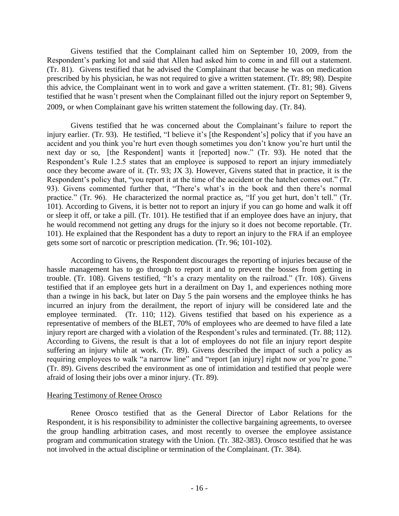Givens testified that the Complainant called him on September 10, 2009, from the Respondent's parking lot and said that Allen had asked him to come in and fill out a statement. (Tr. 81). Givens testified that he advised the Complainant that because he was on medication prescribed by his physician, he was not required to give a written statement. (Tr. 89; 98). Despite this advice, the Complainant went in to work and gave a written statement. (Tr. 81; 98). Givens testified that he wasn't present when the Complainant filled out the injury report on September 9, 2009, or when Complainant gave his written statement the following day. (Tr. 84).

Givens testified that he was concerned about the Complainant's failure to report the injury earlier. (Tr. 93). He testified, "I believe it's [the Respondent's] policy that if you have an accident and you think you're hurt even though sometimes you don't know you're hurt until the next day or so, [the Respondent] wants it [reported] now." (Tr. 93). He noted that the Respondent's Rule 1.2.5 states that an employee is supposed to report an injury immediately once they become aware of it. (Tr. 93; JX 3). However, Givens stated that in practice, it is the Respondent's policy that, "you report it at the time of the accident or the hatchet comes out." (Tr. 93). Givens commented further that, "There's what's in the book and then there's normal practice." (Tr. 96). He characterized the normal practice as, "If you get hurt, don't tell." (Tr. 101). According to Givens, it is better not to report an injury if you can go home and walk it off or sleep it off, or take a pill. (Tr. 101). He testified that if an employee does have an injury, that he would recommend not getting any drugs for the injury so it does not become reportable. (Tr. 101). He explained that the Respondent has a duty to report an injury to the FRA if an employee gets some sort of narcotic or prescription medication. (Tr. 96; 101-102).

According to Givens, the Respondent discourages the reporting of injuries because of the hassle management has to go through to report it and to prevent the bosses from getting in trouble. (Tr. 108). Givens testified, "It's a crazy mentality on the railroad." (Tr. 108). Givens testified that if an employee gets hurt in a derailment on Day 1, and experiences nothing more than a twinge in his back, but later on Day 5 the pain worsens and the employee thinks he has incurred an injury from the derailment, the report of injury will be considered late and the employee terminated. (Tr. 110; 112). Givens testified that based on his experience as a representative of members of the BLET, 70% of employees who are deemed to have filed a late injury report are charged with a violation of the Respondent's rules and terminated. (Tr. 88; 112). According to Givens, the result is that a lot of employees do not file an injury report despite suffering an injury while at work. (Tr. 89). Givens described the impact of such a policy as requiring employees to walk "a narrow line" and "report [an injury] right now or you're gone." (Tr. 89). Givens described the environment as one of intimidation and testified that people were afraid of losing their jobs over a minor injury. (Tr. 89).

### Hearing Testimony of Renee Orosco

Renee Orosco testified that as the General Director of Labor Relations for the Respondent, it is his responsibility to administer the collective bargaining agreements, to oversee the group handling arbitration cases, and most recently to oversee the employee assistance program and communication strategy with the Union. (Tr. 382-383). Orosco testified that he was not involved in the actual discipline or termination of the Complainant. (Tr. 384).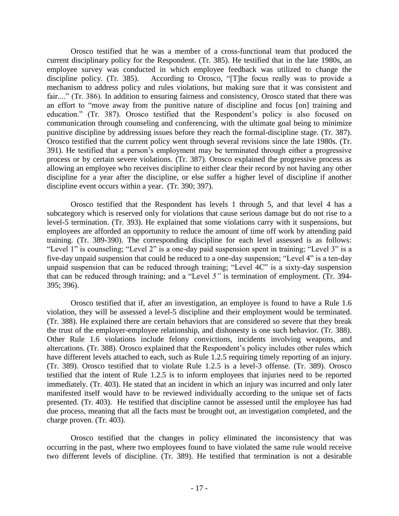Orosco testified that he was a member of a cross-functional team that produced the current disciplinary policy for the Respondent. (Tr. 385). He testified that in the late 1980s, an employee survey was conducted in which employee feedback was utilized to change the discipline policy. (Tr. 385). According to Orosco, "[T]he focus really was to provide a mechanism to address policy and rules violations, but making sure that it was consistent and fair...." (Tr. 386). In addition to ensuring fairness and consistency, Orosco stated that there was an effort to "move away from the punitive nature of discipline and focus [on] training and education." (Tr. 387). Orosco testified that the Respondent's policy is also focused on communication through counseling and conferencing, with the ultimate goal being to minimize punitive discipline by addressing issues before they reach the formal-discipline stage. (Tr. 387). Orosco testified that the current policy went through several revisions since the late 1980s. (Tr. 391). He testified that a person's employment may be terminated through either a progressive process or by certain severe violations. (Tr. 387). Orosco explained the progressive process as allowing an employee who receives discipline to either clear their record by not having any other discipline for a year after the discipline, or else suffer a higher level of discipline if another discipline event occurs within a year. (Tr. 390; 397).

Orosco testified that the Respondent has levels 1 through 5, and that level 4 has a subcategory which is reserved only for violations that cause serious damage but do not rise to a level-5 termination. (Tr. 393). He explained that some violations carry with it suspensions, but employees are afforded an opportunity to reduce the amount of time off work by attending paid training. (Tr. 389-390). The corresponding discipline for each level assessed is as follows: "Level 1" is counseling; "Level 2" is a one-day paid suspension spent in training; "Level 3" is a five-day unpaid suspension that could be reduced to a one-day suspension; "Level 4" is a ten-day unpaid suspension that can be reduced through training; "Level 4C" is a sixty-day suspension that can be reduced through training; and a "Level *5"* is termination of employment. (Tr. 394- 395; 396).

Orosco testified that if, after an investigation, an employee is found to have a Rule 1.6 violation, they will be assessed a level-5 discipline and their employment would be terminated. (Tr. 388). He explained there are certain behaviors that are considered so severe that they break the trust of the employer-employee relationship, and dishonesty is one such behavior. (Tr. 388). Other Rule 1.6 violations include felony convictions, incidents involving weapons, and altercations. (Tr. 388). Orosco explained that the Respondent's policy includes other rules which have different levels attached to each, such as Rule 1.2.5 requiring timely reporting of an injury. (Tr. 389). Orosco testified that to violate Rule 1.2.5 is a level-3 offense. (Tr. 389). Orosco testified that the intent of Rule 1.2.5 is to inform employees that injuries need to be reported immediately. (Tr. 403). He stated that an incident in which an injury was incurred and only later manifested itself would have to be reviewed individually according to the unique set of facts presented. (Tr. 403). He testified that discipline cannot be assessed until the employee has had due process, meaning that all the facts must be brought out, an investigation completed, and the charge proven. (Tr. 403).

Orosco testified that the changes in policy eliminated the inconsistency that was occurring in the past, where two employees found to have violated the same rule would receive two different levels of discipline. (Tr. 389). He testified that termination is not a desirable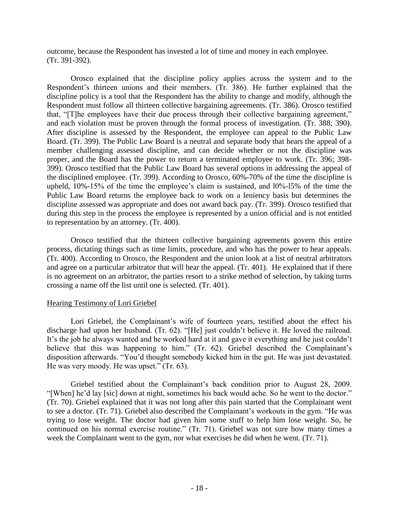outcome, because the Respondent has invested a lot of time and money in each employee. (Tr. 391-392).

Orosco explained that the discipline policy applies across the system and to the Respondent's thirteen unions and their members. (Tr. 386). He further explained that the discipline policy is a tool that the Respondent has the ability to change and modify, although the Respondent must follow all thirteen collective bargaining agreements. (Tr. 386). Orosco testified that, "[T]he employees have their due process through their collective bargaining agreement," and each violation must be proven through the formal process of investigation. (Tr. 388; 390). After discipline is assessed by the Respondent, the employee can appeal to the Public Law Board. (Tr. 399). The Public Law Board is a neutral and separate body that hears the appeal of a member challenging assessed discipline, and can decide whether or not the discipline was proper, and the Board has the power to return a terminated employee to work. (Tr. 396; 398- 399). Orosco testified that the Public Law Board has several options in addressing the appeal of the disciplined employee. (Tr. 399). According to Orosco, 60%-70% of the time the discipline is upheld, 10%-15% of the time the employee's claim is sustained, and l0%-l5% of the time the Public Law Board returns the employee back to work on a leniency basis but determines the discipline assessed was appropriate and does not award back pay. (Tr. 399). Orosco testified that during this step in the process the employee is represented by a union official and is not entitled to representation by an attorney. (Tr. 400).

Orosco testified that the thirteen collective bargaining agreements govern this entire process, dictating things such as time limits, procedure, and who has the power to hear appeals. (Tr. 400). According to Orosco, the Respondent and the union look at a list of neutral arbitrators and agree on a particular arbitrator that will hear the appeal. (Tr. 401). He explained that if there is no agreement on an arbitrator, the parties resort to a strike method of selection, by taking turns crossing a name off the list until one is selected. (Tr. 401).

### Hearing Testimony of Lori Griebel

Lori Griebel, the Complainant's wife of fourteen years, testified about the effect his discharge had upon her husband. (Tr. 62). "[He] just couldn't believe it. He loved the railroad. It's the job he always wanted and he worked hard at it and gave it everything and he just couldn't believe that this was happening to him." (Tr. 62). Griebel described the Complainant's disposition afterwards. "You'd thought somebody kicked him in the gut. He was just devastated. He was very moody. He was upset." (Tr. 63).

Griebel testified about the Complainant's back condition prior to August 28, 2009. "[When] he'd lay [sic] down at night, sometimes his back would ache. So he went to the doctor." (Tr. 70). Griebel explained that it was not long after this pain started that the Complainant went to see a doctor. (Tr. 71). Griebel also described the Complainant's workouts in the gym. "He was trying to lose weight. The doctor had given him some stuff to help him lose weight. So, he continued on his normal exercise routine." (Tr. 71). Griebel was not sure how many times a week the Complainant went to the gym, nor what exercises he did when he went. (Tr. 71).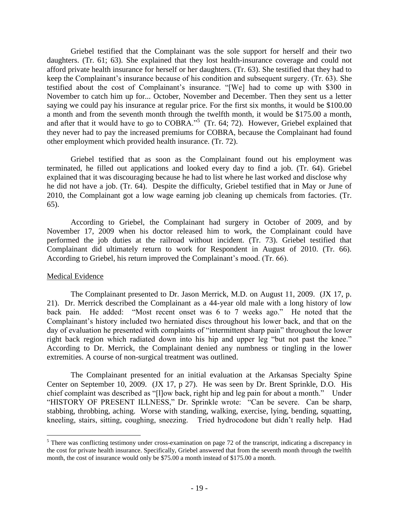Griebel testified that the Complainant was the sole support for herself and their two daughters. (Tr. 61; 63). She explained that they lost health-insurance coverage and could not afford private health insurance for herself or her daughters. (Tr. 63). She testified that they had to keep the Complainant's insurance because of his condition and subsequent surgery. (Tr. 63). She testified about the cost of Complainant's insurance. "[We] had to come up with \$300 in November to catch him up for... October, November and December. Then they sent us a letter saying we could pay his insurance at regular price. For the first six months, it would be \$100.00 a month and from the seventh month through the twelfth month, it would be \$175.00 a month, and after that it would have to go to COBRA."<sup>5</sup> (Tr. 64; 72). However, Griebel explained that they never had to pay the increased premiums for COBRA, because the Complainant had found other employment which provided health insurance. (Tr. 72).

Griebel testified that as soon as the Complainant found out his employment was terminated, he filled out applications and looked every day to find a job. (Tr. 64). Griebel explained that it was discouraging because he had to list where he last worked and disclose why he did not have a job. (Tr. 64). Despite the difficulty, Griebel testified that in May or June of 2010, the Complainant got a low wage earning job cleaning up chemicals from factories. (Tr. 65).

According to Griebel, the Complainant had surgery in October of 2009, and by November 17, 2009 when his doctor released him to work, the Complainant could have performed the job duties at the railroad without incident. (Tr. 73). Griebel testified that Complainant did ultimately return to work for Respondent in August of 2010. (Tr. 66). According to Griebel, his return improved the Complainant's mood. (Tr. 66).

### Medical Evidence

 $\overline{a}$ 

The Complainant presented to Dr. Jason Merrick, M.D. on August 11, 2009. (JX 17, p. 21). Dr. Merrick described the Complainant as a 44-year old male with a long history of low back pain. He added: "Most recent onset was 6 to 7 weeks ago." He noted that the Complainant's history included two herniated discs throughout his lower back, and that on the day of evaluation he presented with complaints of "intermittent sharp pain" throughout the lower right back region which radiated down into his hip and upper leg "but not past the knee." According to Dr. Merrick, the Complainant denied any numbness or tingling in the lower extremities. A course of non-surgical treatment was outlined.

The Complainant presented for an initial evaluation at the Arkansas Specialty Spine Center on September 10, 2009. (JX 17, p 27). He was seen by Dr. Brent Sprinkle, D.O. His chief complaint was described as "[l]ow back, right hip and leg pain for about a month." Under "HISTORY OF PRESENT ILLNESS," Dr. Sprinkle wrote: "Can be severe. Can be sharp, stabbing, throbbing, aching. Worse with standing, walking, exercise, lying, bending, squatting, kneeling, stairs, sitting, coughing, sneezing. Tried hydrocodone but didn't really help. Had

 $<sup>5</sup>$  There was conflicting testimony under cross-examination on page 72 of the transcript, indicating a discrepancy in</sup> the cost for private health insurance. Specifically, Griebel answered that from the seventh month through the twelfth month, the cost of insurance would only be \$75.00 a month instead of \$175.00 a month.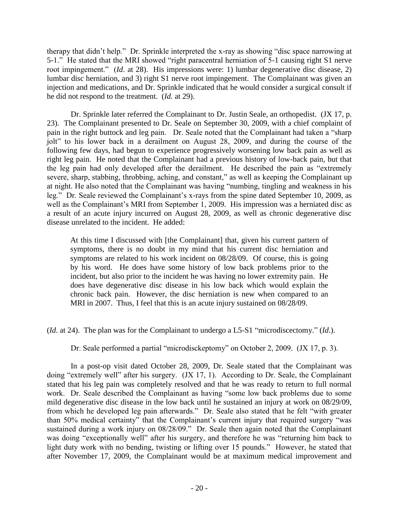therapy that didn't help." Dr. Sprinkle interpreted the x-ray as showing "disc space narrowing at 5-1." He stated that the MRI showed "right paracentral herniation of 5-1 causing right S1 nerve root impingement." (*Id*. at 28). His impressions were: 1) lumbar degenerative disc disease, 2) lumbar disc herniation, and 3) right S1 nerve root impingement. The Complainant was given an injection and medications, and Dr. Sprinkle indicated that he would consider a surgical consult if he did not respond to the treatment. (*Id*. at 29).

Dr. Sprinkle later referred the Complainant to Dr. Justin Seale, an orthopedist. (JX 17, p. 23). The Complainant presented to Dr. Seale on September 30, 2009, with a chief complaint of pain in the right buttock and leg pain. Dr. Seale noted that the Complainant had taken a "sharp jolt" to his lower back in a derailment on August 28, 2009, and during the course of the following few days, had begun to experience progressively worsening low back pain as well as right leg pain. He noted that the Complainant had a previous history of low-back pain, but that the leg pain had only developed after the derailment. He described the pain as "extremely severe, sharp, stabbing, throbbing, aching, and constant," as well as keeping the Complainant up at night. He also noted that the Complainant was having "numbing, tingling and weakness in his leg." Dr. Seale reviewed the Complainant's x-rays from the spine dated September 10, 2009, as well as the Complainant's MRI from September 1, 2009. His impression was a herniated disc as a result of an acute injury incurred on August 28, 2009, as well as chronic degenerative disc disease unrelated to the incident. He added:

At this time I discussed with [the Complainant] that, given his current pattern of symptoms, there is no doubt in my mind that his current disc herniation and symptoms are related to his work incident on 08/28/09. Of course, this is going by his word. He does have some history of low back problems prior to the incident, but also prior to the incident he was having no lower extremity pain. He does have degenerative disc disease in his low back which would explain the chronic back pain. However, the disc herniation is new when compared to an MRI in 2007. Thus, I feel that this is an acute injury sustained on 08/28/09.

(*Id*. at 24). The plan was for the Complainant to undergo a L5-S1 "microdiscectomy." (*Id*.).

Dr. Seale performed a partial "microdisckeptomy" on October 2, 2009. (JX 17, p. 3).

In a post-op visit dated October 28, 2009, Dr. Seale stated that the Complainant was doing "extremely well" after his surgery. (JX 17, 1). According to Dr. Seale, the Complainant stated that his leg pain was completely resolved and that he was ready to return to full normal work. Dr. Seale described the Complainant as having "some low back problems due to some mild degenerative disc disease in the low back until he sustained an injury at work on 08/29/09, from which he developed leg pain afterwards." Dr. Seale also stated that he felt "with greater than 50% medical certainty" that the Complainant's current injury that required surgery "was sustained during a work injury on 08/28/09." Dr. Seale then again noted that the Complainant was doing "exceptionally well" after his surgery, and therefore he was "returning him back to light duty work with no bending, twisting or lifting over 15 pounds." However, he stated that after November 17, 2009, the Complainant would be at maximum medical improvement and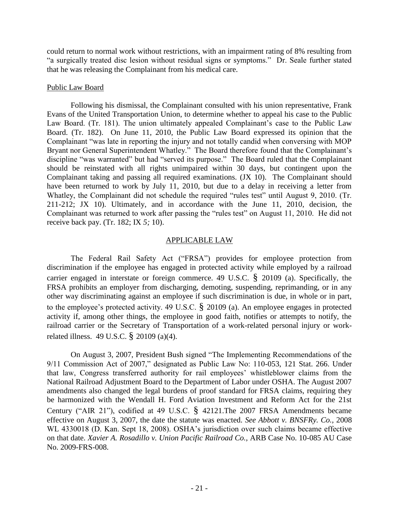could return to normal work without restrictions, with an impairment rating of 8% resulting from "a surgically treated disc lesion without residual signs or symptoms." Dr. Seale further stated that he was releasing the Complainant from his medical care.

#### Public Law Board

Following his dismissal, the Complainant consulted with his union representative, Frank Evans of the United Transportation Union, to determine whether to appeal his case to the Public Law Board. (Tr. 181). The union ultimately appealed Complainant's case to the Public Law Board. (Tr. 182). On June 11, 2010, the Public Law Board expressed its opinion that the Complainant "was late in reporting the injury and not totally candid when conversing with MOP Bryant nor General Superintendent Whatley." The Board therefore found that the Complainant's discipline "was warranted" but had "served its purpose." The Board ruled that the Complainant should be reinstated with all rights unimpaired within 30 days, but contingent upon the Complainant taking and passing all required examinations. (JX 10). The Complainant should have been returned to work by July 11, 2010, but due to a delay in receiving a letter from Whatley, the Complainant did not schedule the required "rules test" until August 9, 2010. (Tr. 211-212; JX 10). Ultimately, and in accordance with the June 11, 2010, decision, the Complainant was returned to work after passing the "rules test" on August 11, 2010. He did not receive back pay. (Tr. 182; IX *5;* 10).

## APPLICABLE LAW

The Federal Rail Safety Act ("FRSA") provides for employee protection from discrimination if the employee has engaged in protected activity while employed by a railroad carrier engaged in interstate or foreign commerce. 49 U.S.C. § 20109 (a). Specifically, the FRSA prohibits an employer from discharging, demoting, suspending, reprimanding, or in any other way discriminating against an employee if such discrimination is due, in whole or in part, to the employee's protected activity. 49 U.S.C. § 20109 (a). An employee engages in protected activity if, among other things, the employee in good faith, notifies or attempts to notify, the railroad carrier or the Secretary of Transportation of a work-related personal injury or workrelated illness. 49 U.S.C. § 20109 (a)(4).

On August 3, 2007, President Bush signed "The Implementing Recommendations of the 9/11 Commission Act of 2007," designated as Public Law No: 110-053, 121 Stat. 266. Under that law, Congress transferred authority for rail employees' whistleblower claims from the National Railroad Adjustment Board to the Department of Labor under OSHA. The August 2007 amendments also changed the legal burdens of proof standard for FRSA claims, requiring they be harmonized with the Wendall H. Ford Aviation Investment and Reform Act for the 21st Century ("AIR 21"), codified at 49 U.S.C. § 42121.The 2007 FRSA Amendments became effective on August 3, 2007, the date the statute was enacted. *See Abbott v. BNSFRy. Co.,* 2008 WL 4330018 (D. Kan. Sept 18, 2008). OSHA's jurisdiction over such claims became effective on that date. *Xavier A. Rosadillo v. Union Pacific Railroad Co.,* ARB Case No. 10-085 AU Case No. 2009-FRS-008.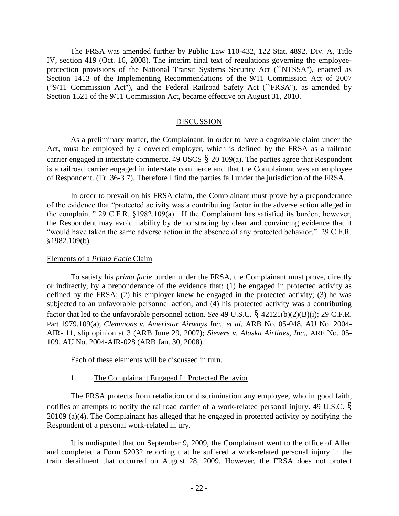The FRSA was amended further by Public Law 110-432, 122 Stat. 4892, Div. A, Title IV, section 419 (Oct. 16, 2008). The interim final text of regulations governing the employeeprotection provisions of the National Transit Systems Security Act (``NTSSA''), enacted as Section 1413 of the Implementing Recommendations of the 9/11 Commission Act of 2007 ("9/11 Commission Act''), and the Federal Railroad Safety Act (``FRSA''), as amended by Section 1521 of the 9/11 Commission Act, became effective on August 31, 2010.

#### DISCUSSION

As a preliminary matter, the Complainant, in order to have a cognizable claim under the Act, must be employed by a covered employer, which is defined by the FRSA as a railroad carrier engaged in interstate commerce. 49 USCS  $\S$  20 109(a). The parties agree that Respondent is a railroad carrier engaged in interstate commerce and that the Complainant was an employee of Respondent. (Tr. 36-3 7). Therefore I find the parties fall under the jurisdiction of the FRSA.

In order to prevail on his FRSA claim, the Complainant must prove by a preponderance of the evidence that "protected activity was a contributing factor in the adverse action alleged in the complaint." 29 C.F.R. §1982.109(a). If the Complainant has satisfied its burden, however, the Respondent may avoid liability by demonstrating by clear and convincing evidence that it "would have taken the same adverse action in the absence of any protected behavior." 29 C.F.R. §1982.109(b).

#### Elements of a *Prima Facie* Claim

To satisfy his *prima facie* burden under the FRSA, the Complainant must prove, directly or indirectly, by a preponderance of the evidence that: (1) he engaged in protected activity as defined by the FRSA; (2) his employer knew he engaged in the protected activity; (3) he was subjected to an unfavorable personnel action; and (4) his protected activity was a contributing factor that led to the unfavorable personnel action. *See* 49 U.S.C. § 42121(b)(2)(B)(i); 29 C.F.R. Part 1979.109(a); *Clemmons v. Ameristar Airways Inc., et al,* ARB No. 05-048, AU No. 2004- AIR- 11, slip opinion at 3 (ARB June 29, 2007); *Sievers v. Alaska Airlines, Inc.,* ARE No. 05- 109, AU No. 2004-AIR-028 (ARB Jan. 30, 2008).

Each of these elements will be discussed in turn.

### 1. The Complainant Engaged In Protected Behavior

The FRSA protects from retaliation or discrimination any employee, who in good faith, notifies or attempts to notify the railroad carrier of a work-related personal injury. 49 U.S.C. § 20109 (a)(4). The Complainant has alleged that he engaged in protected activity by notifying the Respondent of a personal work-related injury.

It is undisputed that on September 9, 2009, the Complainant went to the office of Allen and completed a Form 52032 reporting that he suffered a work-related personal injury in the train derailment that occurred on August 28, 2009. However, the FRSA does not protect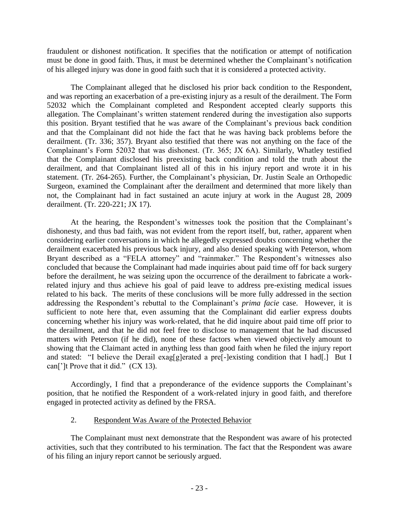fraudulent or dishonest notification. It specifies that the notification or attempt of notification must be done in good faith. Thus, it must be determined whether the Complainant's notification of his alleged injury was done in good faith such that it is considered a protected activity.

The Complainant alleged that he disclosed his prior back condition to the Respondent, and was reporting an exacerbation of a pre-existing injury as a result of the derailment. The Form 52032 which the Complainant completed and Respondent accepted clearly supports this allegation. The Complainant's written statement rendered during the investigation also supports this position. Bryant testified that he was aware of the Complainant's previous back condition and that the Complainant did not hide the fact that he was having back problems before the derailment. (Tr. 336; 357). Bryant also testified that there was not anything on the face of the Complainant's Form 52032 that was dishonest. (Tr. 365; JX 6A). Similarly, Whatley testified that the Complainant disclosed his preexisting back condition and told the truth about the derailment, and that Complainant listed all of this in his injury report and wrote it in his statement. (Tr. 264-265). Further, the Complainant's physician, Dr. Justin Seale an Orthopedic Surgeon, examined the Complainant after the derailment and determined that more likely than not, the Complainant had in fact sustained an acute injury at work in the August 28, 2009 derailment. (Tr. 220-221; JX 17).

At the hearing, the Respondent's witnesses took the position that the Complainant's dishonesty, and thus bad faith, was not evident from the report itself, but, rather, apparent when considering earlier conversations in which he allegedly expressed doubts concerning whether the derailment exacerbated his previous back injury, and also denied speaking with Peterson, whom Bryant described as a "FELA attorney" and "rainmaker." The Respondent's witnesses also concluded that because the Complainant had made inquiries about paid time off for back surgery before the derailment, he was seizing upon the occurrence of the derailment to fabricate a workrelated injury and thus achieve his goal of paid leave to address pre-existing medical issues related to his back. The merits of these conclusions will be more fully addressed in the section addressing the Respondent's rebuttal to the Complainant's *prima facie* case. However, it is sufficient to note here that, even assuming that the Complainant did earlier express doubts concerning whether his injury was work-related, that he did inquire about paid time off prior to the derailment, and that he did not feel free to disclose to management that he had discussed matters with Peterson (if he did), none of these factors when viewed objectively amount to showing that the Claimant acted in anything less than good faith when he filed the injury report and stated: "I believe the Derail exag[g]erated a pre[-]existing condition that I had[.] But I can[']t Prove that it did." (CX 13).

Accordingly, I find that a preponderance of the evidence supports the Complainant's position, that he notified the Respondent of a work-related injury in good faith, and therefore engaged in protected activity as defined by the FRSA.

# 2. Respondent Was Aware of the Protected Behavior

The Complainant must next demonstrate that the Respondent was aware of his protected activities, such that they contributed to his termination. The fact that the Respondent was aware of his filing an injury report cannot be seriously argued.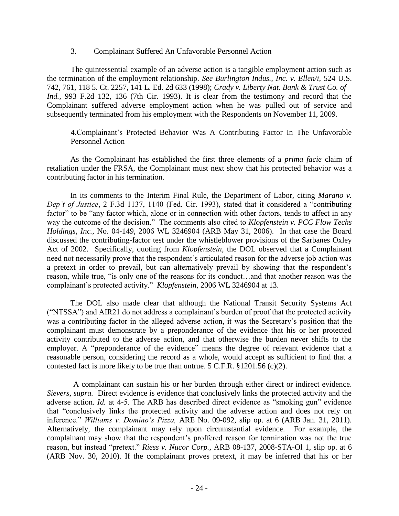#### 3. Complainant Suffered An Unfavorable Personnel Action

The quintessential example of an adverse action is a tangible employment action such as the termination of the employment relationship. *See Burlington Indus., Inc. v. Ellen/i,* 524 U.S. 742, 761, 118 5. Ct. 2257, 141 L. Ed. 2d 633 (1998); *Crady v. Liberty Nat. Bank & Trust Co. of Ind.,* 993 F.2d 132, 136 (7th Cir. 1993). It is clear from the testimony and record that the Complainant suffered adverse employment action when he was pulled out of service and subsequently terminated from his employment with the Respondents on November 11, 2009.

## 4.Complainant's Protected Behavior Was A Contributing Factor In The Unfavorable Personnel Action

As the Complainant has established the first three elements of a *prima facie* claim of retaliation under the FRSA, the Complainant must next show that his protected behavior was a contributing factor in his termination.

In its comments to the Interim Final Rule, the Department of Labor, citing *Marano v. Dep't of Justice*, 2 F.3d 1137, 1140 (Fed. Cir. 1993), stated that it considered a "contributing factor" to be "any factor which, alone or in connection with other factors, tends to affect in any way the outcome of the decision." The comments also cited to *Klopfenstein v. PCC Flow Techs Holdings, Inc.*, No. 04-149, 2006 WL 3246904 (ARB May 31, 2006). In that case the Board discussed the contributing-factor test under the whistleblower provisions of the Sarbanes Oxley Act of 2002. Specifically, quoting from *Klopfenstein*, the DOL observed that a Complainant need not necessarily prove that the respondent's articulated reason for the adverse job action was a pretext in order to prevail, but can alternatively prevail by showing that the respondent's reason, while true, "is only one of the reasons for its conduct…and that another reason was the complainant's protected activity." *Klopfenstein*, 2006 WL 3246904 at 13.

The DOL also made clear that although the National Transit Security Systems Act ("NTSSA") and AIR21 do not address a complainant's burden of proof that the protected activity was a contributing factor in the alleged adverse action, it was the Secretary's position that the complainant must demonstrate by a preponderance of the evidence that his or her protected activity contributed to the adverse action, and that otherwise the burden never shifts to the employer. A "preponderance of the evidence" means the degree of relevant evidence that a reasonable person, considering the record as a whole, would accept as sufficient to find that a contested fact is more likely to be true than untrue. 5 C.F.R. §1201.56 (c)(2).

A complainant can sustain his or her burden through either direct or indirect evidence. *Sievers, supra.* Direct evidence is evidence that conclusively links the protected activity and the adverse action. *Id.* at 4-5. The ARB has described direct evidence as "smoking gun" evidence that "conclusively links the protected activity and the adverse action and does not rely on inference." *Williams v. Domino's Pizza,* ARE No. 09-092, slip op. at 6 (ARB Jan. 31, 2011). Alternatively, the complainant may rely upon circumstantial evidence. For example, the complainant may show that the respondent's proffered reason for termination was not the true reason, but instead "pretext." *Riess v. Nucor Corp.,* ARB 08-137, 2008-STA-Ol 1, slip op. at 6 (ARB Nov. 30, 2010). If the complainant proves pretext, it may be inferred that his or her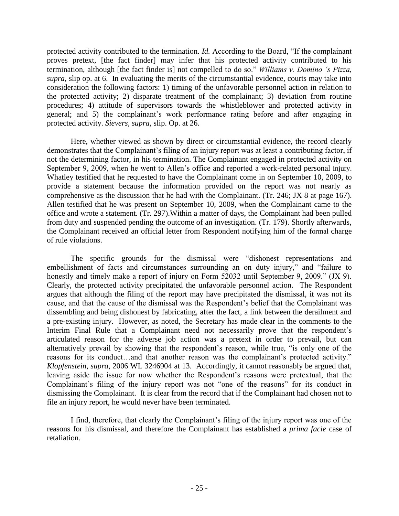protected activity contributed to the termination. *Id.* According to the Board, "If the complainant proves pretext, [the fact finder] may infer that his protected activity contributed to his termination, although [the fact finder is] not compelled to do so." *Williams v. Domino 's Pizza, supra*, slip op. at 6. In evaluating the merits of the circumstantial evidence, courts may take into consideration the following factors: 1) timing of the unfavorable personnel action in relation to the protected activity; 2) disparate treatment of the complainant; 3) deviation from routine procedures; 4) attitude of supervisors towards the whistleblower and protected activity in general; and 5) the complainant's work performance rating before and after engaging in protected activity. *Sievers, supra,* slip. Op. at 26.

Here, whether viewed as shown by direct or circumstantial evidence, the record clearly demonstrates that the Complainant's filing of an injury report was at least a contributing factor, if not the determining factor, in his termination. The Complainant engaged in protected activity on September 9, 2009, when he went to Allen's office and reported a work-related personal injury. Whatley testified that he requested to have the Complainant come in on September 10, 2009, to provide a statement because the information provided on the report was not nearly as comprehensive as the discussion that he had with the Complainant. (Tr. 246; JX 8 at page 167). Allen testified that he was present on September 10, 2009, when the Complainant came to the office and wrote a statement. (Tr. 297).Within a matter of days, the Complainant had been pulled from duty and suspended pending the outcome of an investigation. (Tr. 179). Shortly afterwards, the Complainant received an official letter from Respondent notifying him of the formal charge of rule violations.

The specific grounds for the dismissal were "dishonest representations and embellishment of facts and circumstances surrounding an on duty injury," and "failure to honestly and timely make a report of injury on Form 52032 until September 9, 2009." (JX 9). Clearly, the protected activity precipitated the unfavorable personnel action. The Respondent argues that although the filing of the report may have precipitated the dismissal, it was not its cause, and that the cause of the dismissal was the Respondent's belief that the Complainant was dissembling and being dishonest by fabricating, after the fact, a link between the derailment and a pre-existing injury. However, as noted, the Secretary has made clear in the comments to the Interim Final Rule that a Complainant need not necessarily prove that the respondent's articulated reason for the adverse job action was a pretext in order to prevail, but can alternatively prevail by showing that the respondent's reason, while true, "is only one of the reasons for its conduct…and that another reason was the complainant's protected activity." *Klopfenstein*, *supra*, 2006 WL 3246904 at 13. Accordingly, it cannot reasonably be argued that, leaving aside the issue for now whether the Respondent's reasons were pretextual, that the Complainant's filing of the injury report was not "one of the reasons" for its conduct in dismissing the Complainant. It is clear from the record that if the Complainant had chosen not to file an injury report, he would never have been terminated.

I find, therefore, that clearly the Complainant's filing of the injury report was one of the reasons for his dismissal, and therefore the Complainant has established a *prima facie* case of retaliation.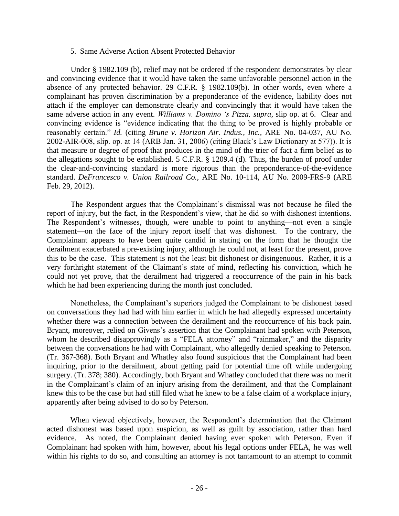#### 5. Same Adverse Action Absent Protected Behavior

Under § 1982.109 (b), relief may not be ordered if the respondent demonstrates by clear and convincing evidence that it would have taken the same unfavorable personnel action in the absence of any protected behavior. 29 C.F.R. § 1982.109(b). In other words, even where a complainant has proven discrimination by a preponderance of the evidence, liability does not attach if the employer can demonstrate clearly and convincingly that it would have taken the same adverse action in any event. *Williams v. Domino 's Pizza, supra*, slip op. at 6. Clear and convincing evidence is "evidence indicating that the thing to be proved is highly probable or reasonably certain." *Id.* (citing *Brune v. Horizon Air. Indus., Inc.,* ARE No. 04-037, AU No. 2002-AIR-008, slip. op. at 14 (ARB Jan. 31, 2006) (citing Black's Law Dictionary at 577)). It is that measure or degree of proof that produces in the mind of the trier of fact a firm belief as to the allegations sought to be established. 5 C.F.R. § 1209.4 (d). Thus, the burden of proof under the clear-and-convincing standard is more rigorous than the preponderance-of-the-evidence standard. *DeFrancesco v. Union Railroad Co.,* ARE No. 10-114, AU No. 2009-FRS-9 (ARE Feb. 29, 2012).

The Respondent argues that the Complainant's dismissal was not because he filed the report of injury, but the fact, in the Respondent's view, that he did so with dishonest intentions. The Respondent's witnesses, though, were unable to point to anything—not even a single statement—on the face of the injury report itself that was dishonest. To the contrary, the Complainant appears to have been quite candid in stating on the form that he thought the derailment exacerbated a pre-existing injury, although he could not, at least for the present, prove this to be the case. This statement is not the least bit dishonest or disingenuous. Rather, it is a very forthright statement of the Claimant's state of mind, reflecting his conviction, which he could not yet prove, that the derailment had triggered a reoccurrence of the pain in his back which he had been experiencing during the month just concluded.

Nonetheless, the Complainant's superiors judged the Complainant to be dishonest based on conversations they had had with him earlier in which he had allegedly expressed uncertainty whether there was a connection between the derailment and the reoccurrence of his back pain. Bryant, moreover, relied on Givens's assertion that the Complainant had spoken with Peterson, whom he described disapprovingly as a "FELA attorney" and "rainmaker," and the disparity between the conversations he had with Complainant, who allegedly denied speaking to Peterson. (Tr. 367-368). Both Bryant and Whatley also found suspicious that the Complainant had been inquiring, prior to the derailment, about getting paid for potential time off while undergoing surgery. (Tr. 378; 380). Accordingly, both Bryant and Whatley concluded that there was no merit in the Complainant's claim of an injury arising from the derailment, and that the Complainant knew this to be the case but had still filed what he knew to be a false claim of a workplace injury, apparently after being advised to do so by Peterson.

When viewed objectively, however, the Respondent's determination that the Claimant acted dishonest was based upon suspicion, as well as guilt by association, rather than hard evidence. As noted, the Complainant denied having ever spoken with Peterson. Even if Complainant had spoken with him, however, about his legal options under FELA, he was well within his rights to do so, and consulting an attorney is not tantamount to an attempt to commit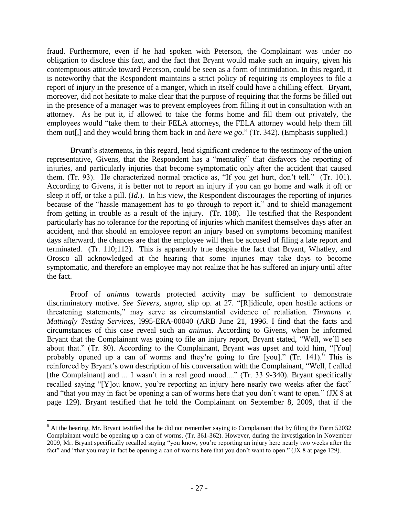fraud. Furthermore, even if he had spoken with Peterson, the Complainant was under no obligation to disclose this fact, and the fact that Bryant would make such an inquiry, given his contemptuous attitude toward Peterson, could be seen as a form of intimidation. In this regard, it is noteworthy that the Respondent maintains a strict policy of requiring its employees to file a report of injury in the presence of a manger, which in itself could have a chilling effect. Bryant, moreover, did not hesitate to make clear that the purpose of requiring that the forms be filled out in the presence of a manager was to prevent employees from filling it out in consultation with an attorney. As he put it, if allowed to take the forms home and fill them out privately, the employees would "take them to their FELA attorneys, the FELA attorney would help them fill them out[,] and they would bring them back in and *here we go*." (Tr. 342). (Emphasis supplied.)

Bryant's statements, in this regard, lend significant credence to the testimony of the union representative, Givens, that the Respondent has a "mentality" that disfavors the reporting of injuries, and particularly injuries that become symptomatic only after the accident that caused them. (Tr. 93). He characterized normal practice as, "If you get hurt, don't tell." (Tr. 101). According to Givens, it is better not to report an injury if you can go home and walk it off or sleep it off, or take a pill. (*Id.*). In his view, the Respondent discourages the reporting of injuries because of the "hassle management has to go through to report it," and to shield management from getting in trouble as a result of the injury. (Tr. 108). He testified that the Respondent particularly has no tolerance for the reporting of injuries which manifest themselves days after an accident, and that should an employee report an injury based on symptoms becoming manifest days afterward, the chances are that the employee will then be accused of filing a late report and terminated. (Tr. 110;112). This is apparently true despite the fact that Bryant, Whatley, and Orosco all acknowledged at the hearing that some injuries may take days to become symptomatic, and therefore an employee may not realize that he has suffered an injury until after the fact.

Proof of *animus* towards protected activity may be sufficient to demonstrate discriminatory motive. *See Sievers, supra,* slip op. at 27. "[R]idicule, open hostile actions or threatening statements," may serve as circumstantial evidence of retaliation. *Timmons v. Mattingly Testing Services,* l995-ERA-00040 (ARB June 21, 1996. I find that the facts and circumstances of this case reveal such an *animus*. According to Givens, when he informed Bryant that the Complainant was going to file an injury report, Bryant stated, "Well, we'll see about that." (Tr. 80). According to the Complainant, Bryant was upset and told him, "[You] probably opened up a can of worms and they're going to fire [you]." (Tr. 141).<sup>6</sup> This is reinforced by Bryant's own description of his conversation with the Complainant, "Well, I called [the Complainant] and ... I wasn't in a real good mood...." (Tr. 33 9-340). Bryant specifically recalled saying "[Y]ou know, you're reporting an injury here nearly two weeks after the fact" and "that you may in fact be opening a can of worms here that you don't want to open." (JX 8 at page 129). Bryant testified that he told the Complainant on September 8, 2009, that if the

 $\overline{a}$ 

 $6$  At the hearing, Mr. Bryant testified that he did not remember saying to Complainant that by filing the Form 52032 Complainant would be opening up a can of worms. (Tr. 361-362). However, during the investigation in November 2009, Mr. Bryant specifically recalled saying "you know, you're reporting an injury here nearly two weeks after the fact" and "that you may in fact be opening a can of worms here that you don't want to open." (JX 8 at page 129).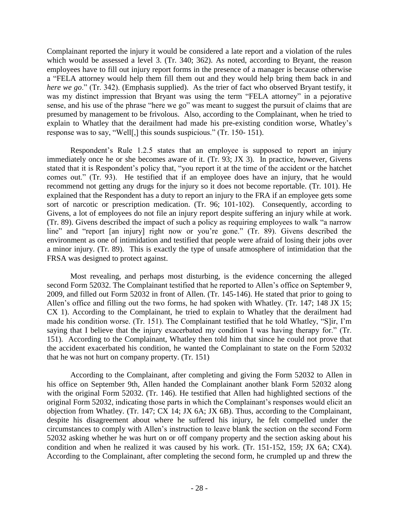Complainant reported the injury it would be considered a late report and a violation of the rules which would be assessed a level 3. (Tr. 340; 362). As noted, according to Bryant, the reason employees have to fill out injury report forms in the presence of a manager is because otherwise a "FELA attorney would help them fill them out and they would help bring them back in and *here we go.*" (Tr. 342). (Emphasis supplied). As the trier of fact who observed Bryant testify, it was my distinct impression that Bryant was using the term "FELA attorney" in a pejorative sense, and his use of the phrase "here we go" was meant to suggest the pursuit of claims that are presumed by management to be frivolous. Also, according to the Complainant, when he tried to explain to Whatley that the derailment had made his pre-existing condition worse, Whatley's response was to say, "Well[,] this sounds suspicious." (Tr. 150- 151).

Respondent's Rule 1.2.5 states that an employee is supposed to report an injury immediately once he or she becomes aware of it. (Tr. 93; JX 3). In practice, however, Givens stated that it is Respondent's policy that, "you report it at the time of the accident or the hatchet comes out." (Tr. 93). He testified that if an employee does have an injury, that he would recommend not getting any drugs for the injury so it does not become reportable. (Tr. 101). He explained that the Respondent has a duty to report an injury to the FRA if an employee gets some sort of narcotic or prescription medication. (Tr. 96; 101-102). Consequently, according to Givens, a lot of employees do not file an injury report despite suffering an injury while at work. (Tr. 89). Givens described the impact of such a policy as requiring employees to walk "a narrow line" and "report [an injury] right now or you're gone." (Tr. 89). Givens described the environment as one of intimidation and testified that people were afraid of losing their jobs over a minor injury. (Tr. 89). This is exactly the type of unsafe atmosphere of intimidation that the FRSA was designed to protect against.

Most revealing, and perhaps most disturbing, is the evidence concerning the alleged second Form 52032. The Complainant testified that he reported to Allen's office on September 9, 2009, and filled out Form 52032 in front of Allen. (Tr. 145-146). He stated that prior to going to Allen's office and filling out the two forms, he had spoken with Whatley. (Tr. 147; 148 JX 15; CX 1). According to the Complainant, he tried to explain to Whatley that the derailment had made his condition worse. (Tr. 151). The Complainant testified that he told Whatley, "S]ir, I'm saying that I believe that the injury exacerbated my condition I was having therapy for." (Tr. 151). According to the Complainant, Whatley then told him that since he could not prove that the accident exacerbated his condition, he wanted the Complainant to state on the Form 52032 that he was not hurt on company property. (Tr. 151)

According to the Complainant, after completing and giving the Form 52032 to Allen in his office on September 9th, Allen handed the Complainant another blank Form 52032 along with the original Form 52032. (Tr. 146). He testified that Allen had highlighted sections of the original Form 52032, indicating those parts in which the Complainant's responses would elicit an objection from Whatley. (Tr. 147; CX 14; JX 6A; JX 6B). Thus, according to the Complainant, despite his disagreement about where he suffered his injury, he felt compelled under the circumstances to comply with Allen's instruction to leave blank the section on the second Form 52032 asking whether he was hurt on or off company property and the section asking about his condition and when he realized it was caused by his work. (Tr. 151-152, 159; JX 6A; CX4). According to the Complainant, after completing the second form, he crumpled up and threw the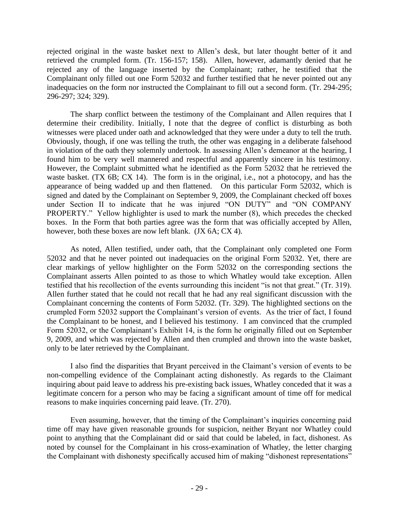rejected original in the waste basket next to Allen's desk, but later thought better of it and retrieved the crumpled form. (Tr. 156-157; 158). Allen, however, adamantly denied that he rejected any of the language inserted by the Complainant; rather, he testified that the Complainant only filled out one Form 52032 and further testified that he never pointed out any inadequacies on the form nor instructed the Complainant to fill out a second form. (Tr. 294-295; 296-297; 324; 329).

The sharp conflict between the testimony of the Complainant and Allen requires that I determine their credibility. Initially, I note that the degree of conflict is disturbing as both witnesses were placed under oath and acknowledged that they were under a duty to tell the truth. Obviously, though, if one was telling the truth, the other was engaging in a deliberate falsehood in violation of the oath they solemnly undertook. In assessing Allen's demeanor at the hearing, I found him to be very well mannered and respectful and apparently sincere in his testimony. However, the Complaint submitted what he identified as the Form 52032 that he retrieved the waste basket. (TX 6B; CX 14). The form is in the original, i.e., not a photocopy, and has the appearance of being wadded up and then flattened. On this particular Form 52032, which is signed and dated by the Complainant on September 9, 2009, the Complainant checked off boxes under Section II to indicate that he was injured "ON DUTY" and "ON COMPANY PROPERTY." Yellow highlighter is used to mark the number (8), which precedes the checked boxes. In the Form that both parties agree was the form that was officially accepted by Allen, however, both these boxes are now left blank. (JX 6A; CX 4).

As noted, Allen testified, under oath, that the Complainant only completed one Form 52032 and that he never pointed out inadequacies on the original Form 52032. Yet, there are clear markings of yellow highlighter on the Form 52032 on the corresponding sections the Complainant asserts Allen pointed to as those to which Whatley would take exception. Allen testified that his recollection of the events surrounding this incident "is not that great." (Tr. 319). Allen further stated that he could not recall that he had any real significant discussion with the Complainant concerning the contents of Form 52032. (Tr. 329). The highlighted sections on the crumpled Form 52032 support the Complainant's version of events. As the trier of fact, I found the Complainant to be honest, and I believed his testimony. I am convinced that the crumpled Form 52032, or the Complainant's Exhibit 14, is the form he originally filled out on September 9, 2009, and which was rejected by Allen and then crumpled and thrown into the waste basket, only to be later retrieved by the Complainant.

I also find the disparities that Bryant perceived in the Claimant's version of events to be non-compelling evidence of the Complainant acting dishonestly. As regards to the Claimant inquiring about paid leave to address his pre-existing back issues, Whatley conceded that it was a legitimate concern for a person who may be facing a significant amount of time off for medical reasons to make inquiries concerning paid leave. (Tr. 270).

Even assuming, however, that the timing of the Complainant's inquiries concerning paid time off may have given reasonable grounds for suspicion, neither Bryant nor Whatley could point to anything that the Complainant did or said that could be labeled, in fact, dishonest. As noted by counsel for the Complainant in his cross-examination of Whatley, the letter charging the Complainant with dishonesty specifically accused him of making "dishonest representations"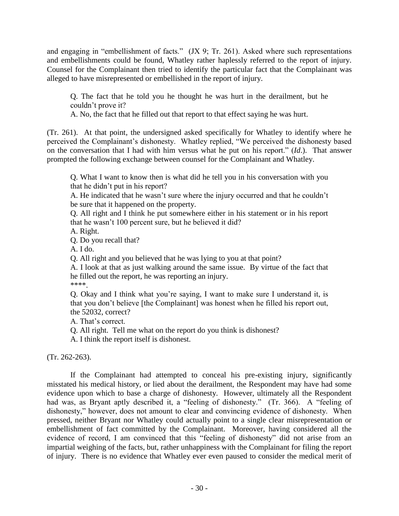and engaging in "embellishment of facts." (JX 9; Tr. 261). Asked where such representations and embellishments could be found, Whatley rather haplessly referred to the report of injury. Counsel for the Complainant then tried to identify the particular fact that the Complainant was alleged to have misrepresented or embellished in the report of injury.

Q. The fact that he told you he thought he was hurt in the derailment, but he couldn't prove it?

A. No, the fact that he filled out that report to that effect saying he was hurt.

(Tr. 261). At that point, the undersigned asked specifically for Whatley to identify where he perceived the Complainant's dishonesty. Whatley replied, "We perceived the dishonesty based on the conversation that I had with him versus what he put on his report." (*Id*.). That answer prompted the following exchange between counsel for the Complainant and Whatley.

Q. What I want to know then is what did he tell you in his conversation with you that he didn't put in his report?

A. He indicated that he wasn't sure where the injury occurred and that he couldn't be sure that it happened on the property.

Q. All right and I think he put somewhere either in his statement or in his report that he wasn't 100 percent sure, but he believed it did?

A. Right.

Q. Do you recall that?

A. I do.

Q. All right and you believed that he was lying to you at that point?

A. I look at that as just walking around the same issue. By virtue of the fact that he filled out the report, he was reporting an injury.

\*\*\*\*.

Q. Okay and I think what you're saying, I want to make sure I understand it, is that you don't believe [the Complainant] was honest when he filled his report out, the 52032, correct?

A. That's correct.

Q. All right. Tell me what on the report do you think is dishonest?

A. I think the report itself is dishonest.

(Tr. 262-263).

If the Complainant had attempted to conceal his pre-existing injury, significantly misstated his medical history, or lied about the derailment, the Respondent may have had some evidence upon which to base a charge of dishonesty. However, ultimately all the Respondent had was, as Bryant aptly described it, a "feeling of dishonesty." (Tr. 366). A "feeling of dishonesty," however, does not amount to clear and convincing evidence of dishonesty. When pressed, neither Bryant nor Whatley could actually point to a single clear misrepresentation or embellishment of fact committed by the Complainant. Moreover, having considered all the evidence of record, I am convinced that this "feeling of dishonesty" did not arise from an impartial weighing of the facts, but, rather unhappiness with the Complainant for filing the report of injury. There is no evidence that Whatley ever even paused to consider the medical merit of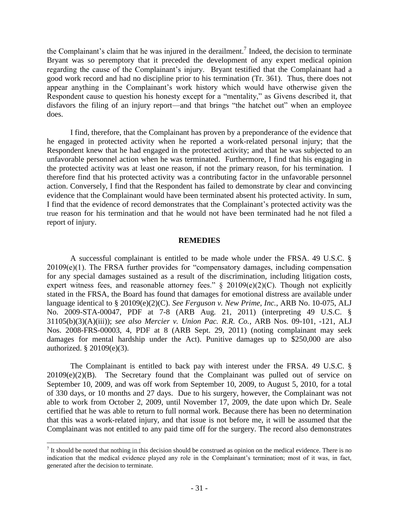the Complainant's claim that he was injured in the derailment.<sup>7</sup> Indeed, the decision to terminate Bryant was so peremptory that it preceded the development of any expert medical opinion regarding the cause of the Complainant's injury. Bryant testified that the Complainant had a good work record and had no discipline prior to his termination (Tr. 361). Thus, there does not appear anything in the Complainant's work history which would have otherwise given the Respondent cause to question his honesty except for a "mentality," as Givens described it, that disfavors the filing of an injury report—and that brings "the hatchet out" when an employee does.

I find, therefore, that the Complainant has proven by a preponderance of the evidence that he engaged in protected activity when he reported a work-related personal injury; that the Respondent knew that he had engaged in the protected activity; and that he was subjected to an unfavorable personnel action when he was terminated. Furthermore, I find that his engaging in the protected activity was at least one reason, if not the primary reason, for his termination. I therefore find that his protected activity was a contributing factor in the unfavorable personnel action. Conversely, I find that the Respondent has failed to demonstrate by clear and convincing evidence that the Complainant would have been terminated absent his protected activity. In sum, I find that the evidence of record demonstrates that the Complainant's protected activity was the true reason for his termination and that he would not have been terminated had he not filed a report of injury.

#### **REMEDIES**

A successful complainant is entitled to be made whole under the FRSA. 49 U.S.C. § 20109(e)(1). The FRSA further provides for "compensatory damages, including compensation for any special damages sustained as a result of the discrimination, including litigation costs, expert witness fees, and reasonable attorney fees." § 20109(e)(2)(C). Though not explicitly stated in the FRSA, the Board has found that damages for emotional distress are available under language identical to § 20109(e)(2)(C). *See Ferguson v. New Prime, Inc.*, ARB No. 10-075, ALJ No. 2009-STA-00047, PDF at 7-8 (ARB Aug. 21, 2011) (interpreting 49 U.S.C. § 31105(b)(3)(A)(iii)); *see also Mercier v. Union Pac. R.R. Co.*, ARB Nos. 09-101, -121, ALJ Nos. 2008-FRS-00003, 4, PDF at 8 (ARB Sept. 29, 2011) (noting complainant may seek damages for mental hardship under the Act). Punitive damages up to \$250,000 are also authorized. § 20109(e)(3).

The Complainant is entitled to back pay with interest under the FRSA. 49 U.S.C. §  $20109(e)(2)(B)$ . The Secretary found that the Complainant was pulled out of service on September 10, 2009, and was off work from September 10, 2009, to August 5, 2010, for a total of 330 days, or 10 months and 27 days. Due to his surgery, however, the Complainant was not able to work from October 2, 2009, until November 17, 2009, the date upon which Dr. Seale certified that he was able to return to full normal work. Because there has been no determination that this was a work-related injury, and that issue is not before me, it will be assumed that the Complainant was not entitled to any paid time off for the surgery. The record also demonstrates

 $\overline{a}$ 

 $<sup>7</sup>$  It should be noted that nothing in this decision should be construed as opinion on the medical evidence. There is no</sup> indication that the medical evidence played any role in the Complainant's termination; most of it was, in fact, generated after the decision to terminate.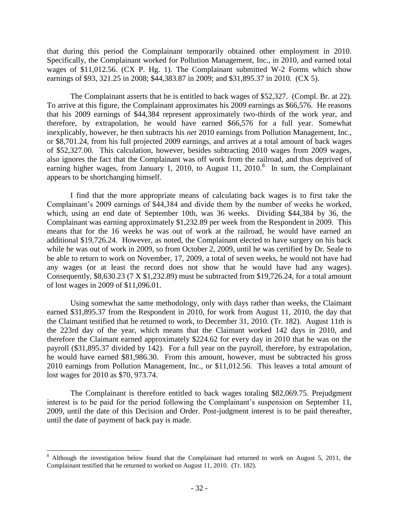that during this period the Complainant temporarily obtained other employment in 2010. Specifically, the Complainant worked for Pollution Management, Inc., in 2010, and earned total wages of \$11,012.56. (CX P. Hg. 1). The Complainant submitted W-2 Forms which show earnings of \$93, 321.25 in 2008; \$44,383.87 in 2009; and \$31,895.37 in 2010. (CX 5).

The Complainant asserts that he is entitled to back wages of \$52,327. (Compl. Br. at 22). To arrive at this figure, the Complainant approximates his 2009 earnings as \$66,576. He reasons that his 2009 earnings of \$44,384 represent approximately two-thirds of the work year, and therefore, by extrapolation, he would have earned \$66,576 for a full year. Somewhat inexplicably, however, he then subtracts his *net* 2010 earnings from Pollution Management, Inc., or \$8,701.24, from his full projected 2009 earnings, and arrives at a total amount of back wages of \$52,327.00. This calculation, however, besides subtracting 2010 wages from 2009 wages, also ignores the fact that the Complainant was off work from the railroad, and thus deprived of earning higher wages, from January 1, 2010, to August 11, 2010. $8$  In sum, the Complainant appears to be shortchanging himself.

I find that the more appropriate means of calculating back wages is to first take the Complainant's 2009 earnings of \$44,384 and divide them by the number of weeks he worked, which, using an end date of September 10th, was 36 weeks. Dividing \$44,384 by 36, the Complainant was earning approximately \$1,232.89 per week from the Respondent in 2009. This means that for the 16 weeks he was out of work at the railroad, he would have earned an additional \$19,726.24. However, as noted, the Complainant elected to have surgery on his back while he was out of work in 2009, so from October 2, 2009, until he was certified by Dr. Seale to be able to return to work on November, 17, 2009, a total of seven weeks, he would not have had any wages (or at least the record does not show that he would have had any wages). Consequently, \$8,630.23 (7 X \$1,232.89) must be subtracted from \$19,726.24, for a total amount of lost wages in 2009 of \$11,096.01.

Using somewhat the same methodology, only with days rather than weeks, the Claimant earned \$31,895.37 from the Respondent in 2010, for work from August 11, 2010, the day that the Claimant testified that he returned to work, to December 31, 2010. (Tr. 182). August 11th is the 223rd day of the year, which means that the Claimant worked 142 days in 2010, and therefore the Claimant earned approximately \$224.62 for every day in 2010 that he was on the payroll (\$31,895.37 divided by 142). For a full year on the payroll, therefore, by extrapolation, he would have earned \$81,986.30. From this amount, however, must be subtracted his gross 2010 earnings from Pollution Management, Inc., or \$11,012.56. This leaves a total amount of lost wages for 2010 as \$70, 973.74.

The Complainant is therefore entitled to back wages totaling \$82,069.75. Prejudgment interest is to be paid for the period following the Complainant's suspension on September 11, 2009, until the date of this Decision and Order. Post-judgment interest is to be paid thereafter, until the date of payment of back pay is made.

 $\overline{a}$ 

<sup>&</sup>lt;sup>8</sup> Although the investigation below found that the Complainant had returned to work on August 5, 2011, the Complainant testified that he returned to worked on August 11, 2010. (Tr. 182).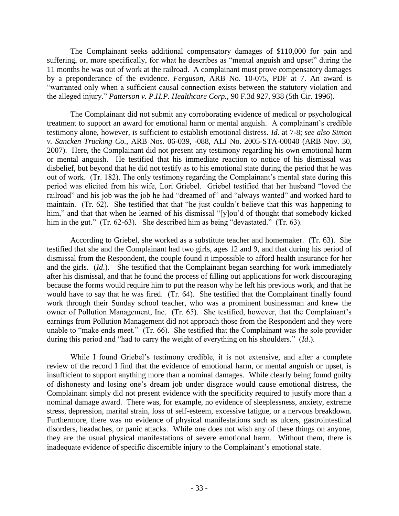The Complainant seeks additional compensatory damages of \$110,000 for pain and suffering, or, more specifically, for what he describes as "mental anguish and upset" during the 11 months he was out of work at the railroad. A complainant must prove compensatory damages by a preponderance of the evidence. *Ferguson*, ARB No. 10-075, PDF at 7. An award is "warranted only when a sufficient causal connection exists between the statutory violation and the alleged injury." *Patterson v. P.H.P. Healthcare Corp.*, 90 F.3d 927, 938 (5th Cir. 1996).

The Complainant did not submit any corroborating evidence of medical or psychological treatment to support an award for emotional harm or mental anguish. A complainant's credible testimony alone, however, is sufficient to establish emotional distress. *Id.* at 7-8; *see also Simon v. Sancken Trucking Co.*, ARB Nos. 06-039, -088, ALJ No. 2005-STA-00040 (ARB Nov. 30, 2007). Here, the Complainant did not present any testimony regarding his own emotional harm or mental anguish. He testified that his immediate reaction to notice of his dismissal was disbelief, but beyond that he did not testify as to his emotional state during the period that he was out of work. (Tr. 182). The only testimony regarding the Complainant's mental state during this period was elicited from his wife, Lori Griebel. Griebel testified that her husband "loved the railroad" and his job was the job he had "dreamed of" and "always wanted" and worked hard to maintain. (Tr. 62). She testified that that "he just couldn't believe that this was happening to him," and that that when he learned of his dismissal "[y]ou'd of thought that somebody kicked him in the gut." (Tr. 62-63). She described him as being "devastated." (Tr. 63).

According to Griebel, she worked as a substitute teacher and homemaker. (Tr. 63). She testified that she and the Complainant had two girls, ages 12 and 9, and that during his period of dismissal from the Respondent, the couple found it impossible to afford health insurance for her and the girls. (*Id*.). She testified that the Complainant began searching for work immediately after his dismissal, and that he found the process of filling out applications for work discouraging because the forms would require him to put the reason why he left his previous work, and that he would have to say that he was fired. (Tr. 64). She testified that the Complainant finally found work through their Sunday school teacher, who was a prominent businessman and knew the owner of Pollution Management, Inc. (Tr. 65). She testified, however, that the Complainant's earnings from Pollution Management did not approach those from the Respondent and they were unable to "make ends meet." (Tr. 66). She testified that the Complainant was the sole provider during this period and "had to carry the weight of everything on his shoulders." (*Id*.).

While I found Griebel's testimony credible, it is not extensive, and after a complete review of the record I find that the evidence of emotional harm, or mental anguish or upset, is insufficient to support anything more than a nominal damages. While clearly being found guilty of dishonesty and losing one's dream job under disgrace would cause emotional distress, the Complainant simply did not present evidence with the specificity required to justify more than a nominal damage award. There was, for example, no evidence of sleeplessness, anxiety, extreme stress, depression, marital strain, loss of self-esteem, excessive fatigue, or a nervous breakdown. Furthermore, there was no evidence of physical manifestations such as ulcers, gastrointestinal disorders, headaches, or panic attacks. While one does not wish any of these things on anyone, they are the usual physical manifestations of severe emotional harm. Without them, there is inadequate evidence of specific discernible injury to the Complainant's emotional state.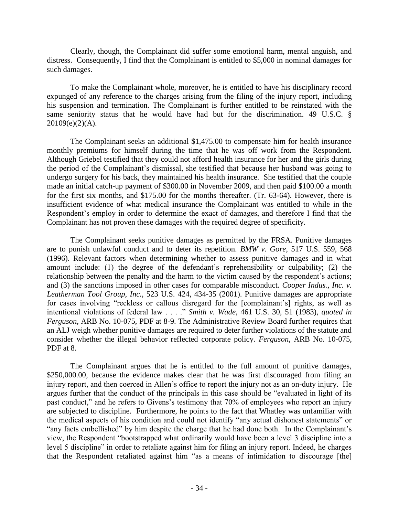Clearly, though, the Complainant did suffer some emotional harm, mental anguish, and distress. Consequently, I find that the Complainant is entitled to \$5,000 in nominal damages for such damages.

To make the Complainant whole, moreover, he is entitled to have his disciplinary record expunged of any reference to the charges arising from the filing of the injury report, including his suspension and termination. The Complainant is further entitled to be reinstated with the same seniority status that he would have had but for the discrimination. 49 U.S.C. § 20109(e)(2)(A).

The Complainant seeks an additional \$1,475.00 to compensate him for health insurance monthly premiums for himself during the time that he was off work from the Respondent. Although Griebel testified that they could not afford health insurance for her and the girls during the period of the Complainant's dismissal, she testified that because her husband was going to undergo surgery for his back, they maintained his health insurance. She testified that the couple made an initial catch-up payment of \$300.00 in November 2009, and then paid \$100.00 a month for the first six months, and \$175.00 for the months thereafter. (Tr. 63-64). However, there is insufficient evidence of what medical insurance the Complainant was entitled to while in the Respondent's employ in order to determine the exact of damages, and therefore I find that the Complainant has not proven these damages with the required degree of specificity.

The Complainant seeks punitive damages as permitted by the FRSA. Punitive damages are to punish unlawful conduct and to deter its repetition. *BMW v. Gore*, 517 U.S. 559, 568 (1996). Relevant factors when determining whether to assess punitive damages and in what amount include: (1) the degree of the defendant's reprehensibility or culpability; (2) the relationship between the penalty and the harm to the victim caused by the respondent's actions; and (3) the sanctions imposed in other cases for comparable misconduct. *Cooper Indus., Inc. v. Leatherman Tool Group, Inc.*, 523 U.S. 424, 434-35 (2001). Punitive damages are appropriate for cases involving "reckless or callous disregard for the [complainant's] rights, as well as intentional violations of federal law . . . ." *Smith v. Wade*, 461 U.S. 30, 51 (1983), *quoted in Ferguson*, ARB No. 10-075, PDF at 8-9. The Administrative Review Board further requires that an ALJ weigh whether punitive damages are required to deter further violations of the statute and consider whether the illegal behavior reflected corporate policy. *Ferguson*, ARB No. 10-075, PDF at 8.

The Complainant argues that he is entitled to the full amount of punitive damages, \$250,000.00, because the evidence makes clear that he was first discouraged from filing an injury report, and then coerced in Allen's office to report the injury not as an on-duty injury. He argues further that the conduct of the principals in this case should be "evaluated in light of its past conduct," and he refers to Givens's testimony that 70% of employees who report an injury are subjected to discipline. Furthermore, he points to the fact that Whatley was unfamiliar with the medical aspects of his condition and could not identify "any actual dishonest statements" or "any facts embellished" by him despite the charge that he had done both. In the Complainant's view, the Respondent "bootstrapped what ordinarily would have been a level 3 discipline into a level 5 discipline" in order to retaliate against him for filing an injury report. Indeed, he charges that the Respondent retaliated against him "as a means of intimidation to discourage [the]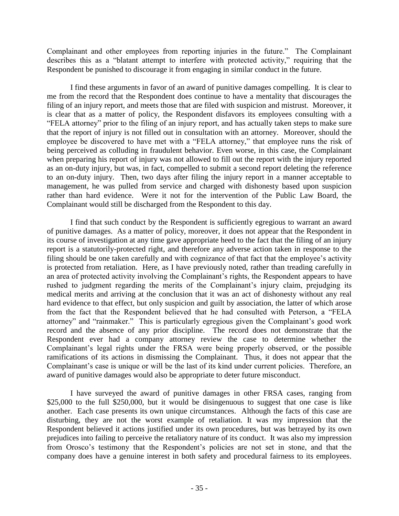Complainant and other employees from reporting injuries in the future." The Complainant describes this as a "blatant attempt to interfere with protected activity," requiring that the Respondent be punished to discourage it from engaging in similar conduct in the future.

I find these arguments in favor of an award of punitive damages compelling. It is clear to me from the record that the Respondent does continue to have a mentality that discourages the filing of an injury report, and meets those that are filed with suspicion and mistrust. Moreover, it is clear that as a matter of policy, the Respondent disfavors its employees consulting with a "FELA attorney" prior to the filing of an injury report, and has actually taken steps to make sure that the report of injury is not filled out in consultation with an attorney. Moreover, should the employee be discovered to have met with a "FELA attorney," that employee runs the risk of being perceived as colluding in fraudulent behavior. Even worse, in this case, the Complainant when preparing his report of injury was not allowed to fill out the report with the injury reported as an on-duty injury, but was, in fact, compelled to submit a second report deleting the reference to an on-duty injury. Then, two days after filing the injury report in a manner acceptable to management, he was pulled from service and charged with dishonesty based upon suspicion rather than hard evidence. Were it not for the intervention of the Public Law Board, the Complainant would still be discharged from the Respondent to this day.

I find that such conduct by the Respondent is sufficiently egregious to warrant an award of punitive damages. As a matter of policy, moreover, it does not appear that the Respondent in its course of investigation at any time gave appropriate heed to the fact that the filing of an injury report is a statutorily-protected right, and therefore any adverse action taken in response to the filing should be one taken carefully and with cognizance of that fact that the employee's activity is protected from retaliation. Here, as I have previously noted, rather than treading carefully in an area of protected activity involving the Complainant's rights, the Respondent appears to have rushed to judgment regarding the merits of the Complainant's injury claim, prejudging its medical merits and arriving at the conclusion that it was an act of dishonesty without any real hard evidence to that effect, but only suspicion and guilt by association, the latter of which arose from the fact that the Respondent believed that he had consulted with Peterson, a "FELA attorney" and "rainmaker." This is particularly egregious given the Complainant's good work record and the absence of any prior discipline. The record does not demonstrate that the Respondent ever had a company attorney review the case to determine whether the Complainant's legal rights under the FRSA were being properly observed, or the possible ramifications of its actions in dismissing the Complainant. Thus, it does not appear that the Complainant's case is unique or will be the last of its kind under current policies. Therefore, an award of punitive damages would also be appropriate to deter future misconduct.

I have surveyed the award of punitive damages in other FRSA cases, ranging from \$25,000 to the full \$250,000, but it would be disingenuous to suggest that one case is like another. Each case presents its own unique circumstances. Although the facts of this case are disturbing, they are not the worst example of retaliation. It was my impression that the Respondent believed it actions justified under its own procedures, but was betrayed by its own prejudices into failing to perceive the retaliatory nature of its conduct. It was also my impression from Orosco's testimony that the Respondent's policies are not set in stone, and that the company does have a genuine interest in both safety and procedural fairness to its employees.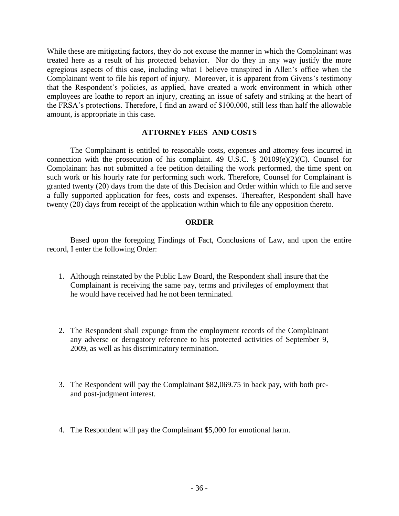While these are mitigating factors, they do not excuse the manner in which the Complainant was treated here as a result of his protected behavior. Nor do they in any way justify the more egregious aspects of this case, including what I believe transpired in Allen's office when the Complainant went to file his report of injury. Moreover, it is apparent from Givens's testimony that the Respondent's policies, as applied, have created a work environment in which other employees are loathe to report an injury, creating an issue of safety and striking at the heart of the FRSA's protections. Therefore, I find an award of \$100,000, still less than half the allowable amount, is appropriate in this case.

#### **ATTORNEY FEES AND COSTS**

The Complainant is entitled to reasonable costs, expenses and attorney fees incurred in connection with the prosecution of his complaint. 49 U.S.C.  $\S$  20109(e)(2)(C). Counsel for Complainant has not submitted a fee petition detailing the work performed, the time spent on such work or his hourly rate for performing such work. Therefore, Counsel for Complainant is granted twenty (20) days from the date of this Decision and Order within which to file and serve a fully supported application for fees, costs and expenses. Thereafter, Respondent shall have twenty (20) days from receipt of the application within which to file any opposition thereto.

#### **ORDER**

Based upon the foregoing Findings of Fact, Conclusions of Law, and upon the entire record, I enter the following Order:

- 1. Although reinstated by the Public Law Board, the Respondent shall insure that the Complainant is receiving the same pay, terms and privileges of employment that he would have received had he not been terminated.
- 2. The Respondent shall expunge from the employment records of the Complainant any adverse or derogatory reference to his protected activities of September 9, 2009, as well as his discriminatory termination.
- 3. The Respondent will pay the Complainant \$82,069.75 in back pay, with both preand post-judgment interest.
- 4. The Respondent will pay the Complainant \$5,000 for emotional harm.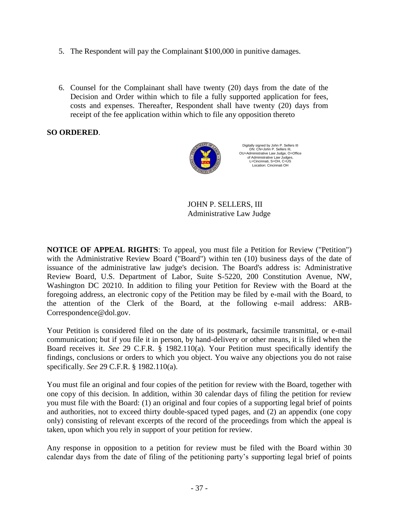- 5. The Respondent will pay the Complainant \$100,000 in punitive damages.
- 6. Counsel for the Complainant shall have twenty (20) days from the date of the Decision and Order within which to file a fully supported application for fees, costs and expenses. Thereafter, Respondent shall have twenty (20) days from receipt of the fee application within which to file any opposition thereto

# **SO ORDERED**.



Digitally signed by John P. Sellers III DN: CN=John P. Sellers III, OU=Administrative Law Judge, O=Office of Administrative Law Judges, L=Cincinnati, S=OH, C=US Location: Cincinnati OH

JOHN P. SELLERS, III Administrative Law Judge

**NOTICE OF APPEAL RIGHTS:** To appeal, you must file a Petition for Review ("Petition") with the Administrative Review Board ("Board") within ten (10) business days of the date of issuance of the administrative law judge's decision. The Board's address is: Administrative Review Board, U.S. Department of Labor, Suite S-5220, 200 Constitution Avenue, NW, Washington DC 20210. In addition to filing your Petition for Review with the Board at the foregoing address, an electronic copy of the Petition may be filed by e-mail with the Board, to the attention of the Clerk of the Board, at the following e-mail address: ARB-Correspondence@dol.gov.

Your Petition is considered filed on the date of its postmark, facsimile transmittal, or e-mail communication; but if you file it in person, by hand-delivery or other means, it is filed when the Board receives it. *See* 29 C.F.R. § 1982.110(a). Your Petition must specifically identify the findings, conclusions or orders to which you object. You waive any objections you do not raise specifically. *See* 29 C.F.R. § 1982.110(a).

You must file an original and four copies of the petition for review with the Board, together with one copy of this decision. In addition, within 30 calendar days of filing the petition for review you must file with the Board: (1) an original and four copies of a supporting legal brief of points and authorities, not to exceed thirty double-spaced typed pages, and (2) an appendix (one copy only) consisting of relevant excerpts of the record of the proceedings from which the appeal is taken, upon which you rely in support of your petition for review.

Any response in opposition to a petition for review must be filed with the Board within 30 calendar days from the date of filing of the petitioning party's supporting legal brief of points